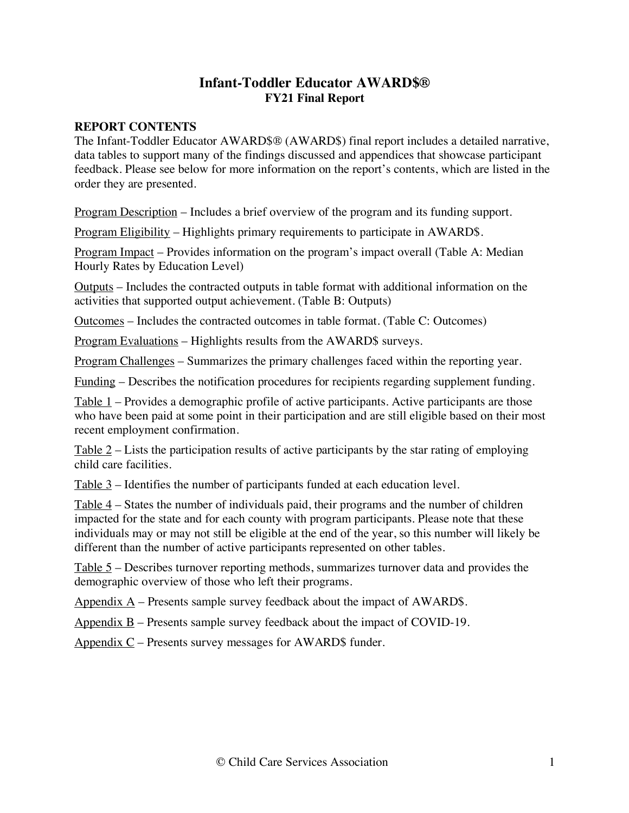# **Infant-Toddler Educator AWARD\$® FY21 Final Report**

### **REPORT CONTENTS**

The Infant-Toddler Educator AWARD\$® (AWARD\$) final report includes a detailed narrative, data tables to support many of the findings discussed and appendices that showcase participant feedback. Please see below for more information on the report's contents, which are listed in the order they are presented.

Program Description – Includes a brief overview of the program and its funding support.

Program Eligibility – Highlights primary requirements to participate in AWARD\$.

Program Impact – Provides information on the program's impact overall (Table A: Median Hourly Rates by Education Level)

Outputs – Includes the contracted outputs in table format with additional information on the activities that supported output achievement. (Table B: Outputs)

Outcomes – Includes the contracted outcomes in table format. (Table C: Outcomes)

Program Evaluations – Highlights results from the AWARD\$ surveys.

Program Challenges – Summarizes the primary challenges faced within the reporting year.

Funding – Describes the notification procedures for recipients regarding supplement funding.

Table 1 – Provides a demographic profile of active participants. Active participants are those who have been paid at some point in their participation and are still eligible based on their most recent employment confirmation.

Table  $2$  – Lists the participation results of active participants by the star rating of employing child care facilities.

Table 3 – Identifies the number of participants funded at each education level.

Table 4 – States the number of individuals paid, their programs and the number of children impacted for the state and for each county with program participants. Please note that these individuals may or may not still be eligible at the end of the year, so this number will likely be different than the number of active participants represented on other tables.

Table 5 – Describes turnover reporting methods, summarizes turnover data and provides the demographic overview of those who left their programs.

Appendix  $\overline{A}$  – Presents sample survey feedback about the impact of AWARD\$.

Appendix B – Presents sample survey feedback about the impact of COVID-19.

Appendix  $C$  – Presents survey messages for AWARD\$ funder.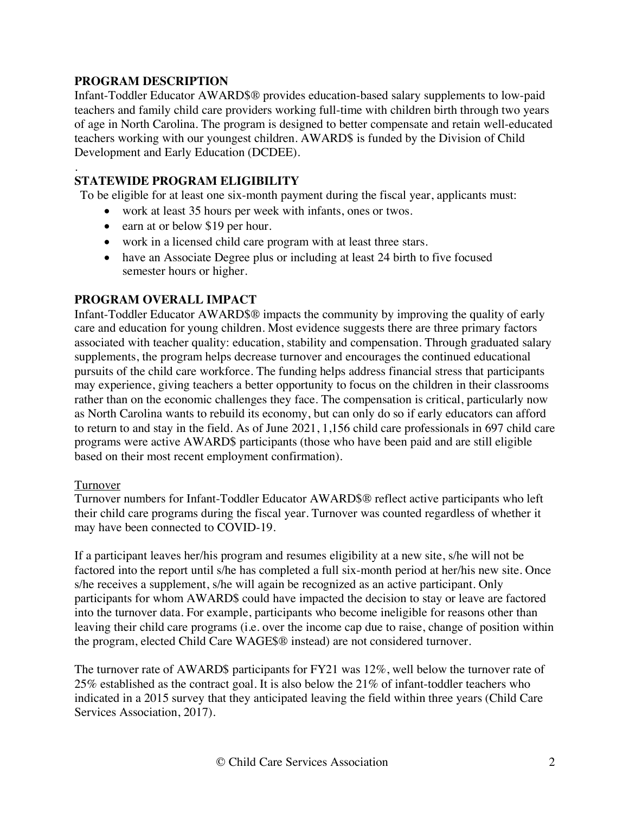### **PROGRAM DESCRIPTION**

Infant-Toddler Educator AWARD\$® provides education-based salary supplements to low-paid teachers and family child care providers working full-time with children birth through two years of age in North Carolina. The program is designed to better compensate and retain well-educated teachers working with our youngest children. AWARD\$ is funded by the Division of Child Development and Early Education (DCDEE).

#### . **STATEWIDE PROGRAM ELIGIBILITY**

To be eligible for at least one six-month payment during the fiscal year, applicants must:

- work at least 35 hours per week with infants, ones or twos.
- earn at or below \$19 per hour.
- work in a licensed child care program with at least three stars.
- have an Associate Degree plus or including at least 24 birth to five focused semester hours or higher.

### **PROGRAM OVERALL IMPACT**

Infant-Toddler Educator AWARD\$® impacts the community by improving the quality of early care and education for young children. Most evidence suggests there are three primary factors associated with teacher quality: education, stability and compensation. Through graduated salary supplements, the program helps decrease turnover and encourages the continued educational pursuits of the child care workforce. The funding helps address financial stress that participants may experience, giving teachers a better opportunity to focus on the children in their classrooms rather than on the economic challenges they face. The compensation is critical, particularly now as North Carolina wants to rebuild its economy, but can only do so if early educators can afford to return to and stay in the field. As of June 2021, 1,156 child care professionals in 697 child care programs were active AWARD\$ participants (those who have been paid and are still eligible based on their most recent employment confirmation).

### Turnover

Turnover numbers for Infant-Toddler Educator AWARD\$® reflect active participants who left their child care programs during the fiscal year. Turnover was counted regardless of whether it may have been connected to COVID-19.

If a participant leaves her/his program and resumes eligibility at a new site, s/he will not be factored into the report until s/he has completed a full six-month period at her/his new site. Once s/he receives a supplement, s/he will again be recognized as an active participant. Only participants for whom AWARD\$ could have impacted the decision to stay or leave are factored into the turnover data. For example, participants who become ineligible for reasons other than leaving their child care programs (i.e. over the income cap due to raise, change of position within the program, elected Child Care WAGE\$® instead) are not considered turnover.

The turnover rate of AWARD\$ participants for FY21 was 12%, well below the turnover rate of 25% established as the contract goal. It is also below the 21% of infant-toddler teachers who indicated in a 2015 survey that they anticipated leaving the field within three years (Child Care Services Association, 2017).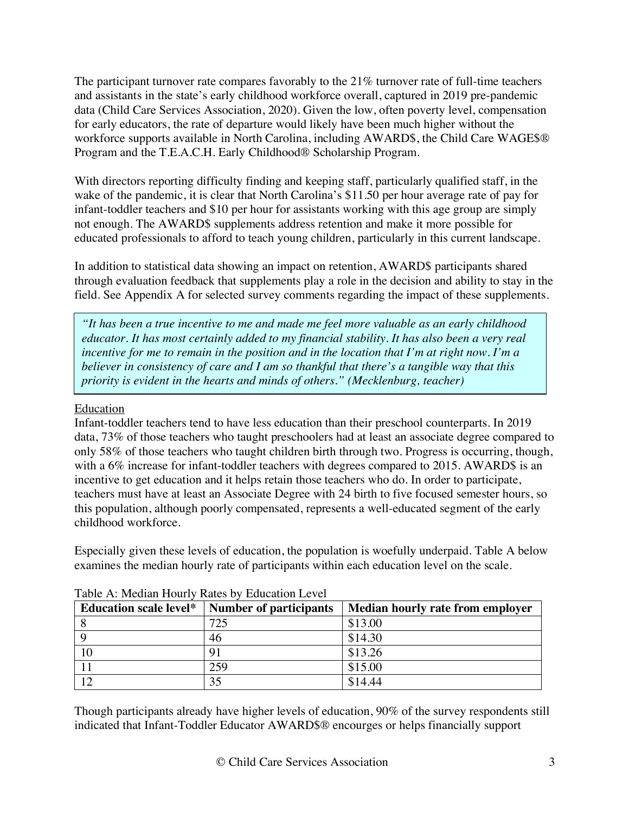The participant turnover rate compares favorably to the 21% turnover rate of full-time teachers and assistants in the state's early childhood workforce overall, captured in 2019 pre-pandemic data (Child Care Services Association, 2020). Given the low, often poverty level, compensation for early educators, the rate of departure would likely have been much higher without the workforce supports available in North Carolina, including AWARD\$, the Child Care WAGE\$® Program and the T.E.A.C.H. Early Childhood® Scholarship Program.

With directors reporting difficulty finding and keeping staff, particularly qualified staff, in the wake of the pandemic, it is clear that North Carolina's \$11.50 per hour average rate of pay for infant-toddler teachers and \$10 per hour for assistants working with this age group are simply not enough. The AWARD\$ supplements address retention and make it more possible for educated professionals to afford to teach young children, particularly in this current landscape.

In addition to statistical data showing an impact on retention, AWARD\$ participants shared through evaluation feedback that supplements play a role in the decision and ability to stay in the field. See Appendix A for selected survey comments regarding the impact of these supplements.

*"It has been a true incentive to me and made me feel more valuable as an early childhood educator. It has most certainly added to my financial stability. It has also been a very real incentive for me to remain in the position and in the location that I'm at right now. I'm a believer in consistency of care and I am so thankful that there's a tangible way that this priority is evident in the hearts and minds of others." (Mecklenburg, teacher)*

### Education

Infant-toddler teachers tend to have less education than their preschool counterparts. In 2019 data, 73% of those teachers who taught preschoolers had at least an associate degree compared to only 58% of those teachers who taught children birth through two. Progress is occurring, though, with a 6% increase for infant-toddler teachers with degrees compared to 2015. AWARD\$ is an incentive to get education and it helps retain those teachers who do. In order to participate, teachers must have at least an Associate Degree with 24 birth to five focused semester hours, so this population, although poorly compensated, represents a well-educated segment of the early childhood workforce.

Especially given these levels of education, the population is woefully underpaid. Table A below examines the median hourly rate of participants within each education level on the scale.

| <b>Education scale level*</b> | <b>Number of participants</b> | Median hourly rate from employer |
|-------------------------------|-------------------------------|----------------------------------|
|                               | 725                           | \$13.00                          |
|                               | 46                            | \$14.30                          |
| 10                            | Q <sub>1</sub>                | \$13.26                          |
|                               | 259                           | \$15.00                          |
|                               | 35                            | \$14.44                          |

### Table A: Median Hourly Rates by Education Level

Though participants already have higher levels of education, 90% of the survey respondents still indicated that Infant-Toddler Educator AWARD\$® encourges or helps financially support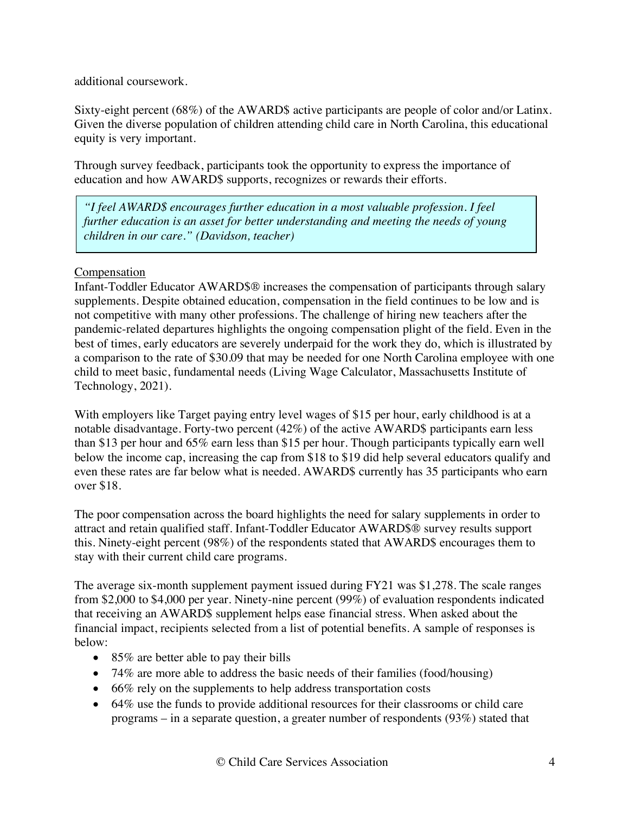additional coursework.

Sixty-eight percent (68%) of the AWARD\$ active participants are people of color and/or Latinx. Given the diverse population of children attending child care in North Carolina, this educational equity is very important.

Through survey feedback, participants took the opportunity to express the importance of education and how AWARD\$ supports, recognizes or rewards their efforts.

*"I feel AWARD\$ encourages further education in a most valuable profession. I feel further education is an asset for better understanding and meeting the needs of young children in our care." (Davidson, teacher)*

### Compensation

Infant-Toddler Educator AWARD\$® increases the compensation of participants through salary supplements. Despite obtained education, compensation in the field continues to be low and is not competitive with many other professions. The challenge of hiring new teachers after the pandemic-related departures highlights the ongoing compensation plight of the field. Even in the best of times, early educators are severely underpaid for the work they do, which is illustrated by a comparison to the rate of \$30.09 that may be needed for one North Carolina employee with one child to meet basic, fundamental needs (Living Wage Calculator, Massachusetts Institute of Technology, 2021).

With employers like Target paying entry level wages of \$15 per hour, early childhood is at a notable disadvantage. Forty-two percent (42%) of the active AWARD\$ participants earn less than \$13 per hour and 65% earn less than \$15 per hour. Though participants typically earn well below the income cap, increasing the cap from \$18 to \$19 did help several educators qualify and even these rates are far below what is needed. AWARD\$ currently has 35 participants who earn over \$18.

The poor compensation across the board highlights the need for salary supplements in order to attract and retain qualified staff. Infant-Toddler Educator AWARD\$® survey results support this. Ninety-eight percent (98%) of the respondents stated that AWARD\$ encourages them to stay with their current child care programs.

The average six-month supplement payment issued during FY21 was \$1,278. The scale ranges from \$2,000 to \$4,000 per year. Ninety-nine percent (99%) of evaluation respondents indicated that receiving an AWARD\$ supplement helps ease financial stress. When asked about the financial impact, recipients selected from a list of potential benefits. A sample of responses is below:

- 85% are better able to pay their bills
- 74% are more able to address the basic needs of their families (food/housing)
- 66% rely on the supplements to help address transportation costs
- 64% use the funds to provide additional resources for their classrooms or child care programs – in a separate question, a greater number of respondents (93%) stated that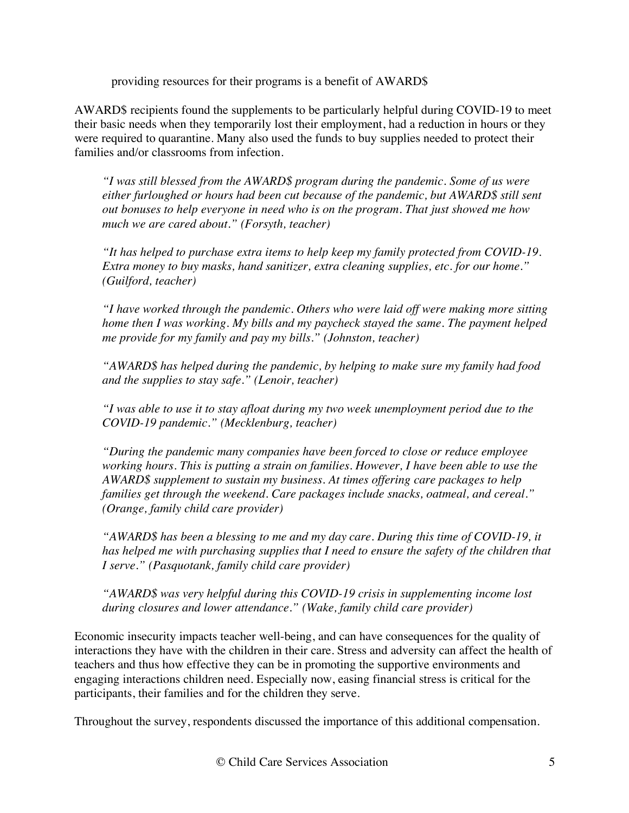providing resources for their programs is a benefit of AWARD\$

AWARD\$ recipients found the supplements to be particularly helpful during COVID-19 to meet their basic needs when they temporarily lost their employment, had a reduction in hours or they were required to quarantine. Many also used the funds to buy supplies needed to protect their families and/or classrooms from infection.

*"I was still blessed from the AWARD\$ program during the pandemic. Some of us were either furloughed or hours had been cut because of the pandemic, but AWARD\$ still sent out bonuses to help everyone in need who is on the program. That just showed me how much we are cared about." (Forsyth, teacher)*

*"It has helped to purchase extra items to help keep my family protected from COVID-19. Extra money to buy masks, hand sanitizer, extra cleaning supplies, etc. for our home." (Guilford, teacher)*

*"I have worked through the pandemic. Others who were laid off were making more sitting home then I was working. My bills and my paycheck stayed the same. The payment helped me provide for my family and pay my bills." (Johnston, teacher)*

*"AWARD\$ has helped during the pandemic, by helping to make sure my family had food and the supplies to stay safe." (Lenoir, teacher)*

*"I was able to use it to stay afloat during my two week unemployment period due to the COVID-19 pandemic." (Mecklenburg, teacher)*

*"During the pandemic many companies have been forced to close or reduce employee working hours. This is putting a strain on families. However, I have been able to use the AWARD\$ supplement to sustain my business. At times offering care packages to help families get through the weekend. Care packages include snacks, oatmeal, and cereal." (Orange, family child care provider)*

*"AWARD\$ has been a blessing to me and my day care. During this time of COVID-19, it has helped me with purchasing supplies that I need to ensure the safety of the children that I serve." (Pasquotank, family child care provider)*

*"AWARD\$ was very helpful during this COVID-19 crisis in supplementing income lost during closures and lower attendance." (Wake, family child care provider)*

Economic insecurity impacts teacher well-being, and can have consequences for the quality of interactions they have with the children in their care. Stress and adversity can affect the health of teachers and thus how effective they can be in promoting the supportive environments and engaging interactions children need. Especially now, easing financial stress is critical for the participants, their families and for the children they serve.

Throughout the survey, respondents discussed the importance of this additional compensation.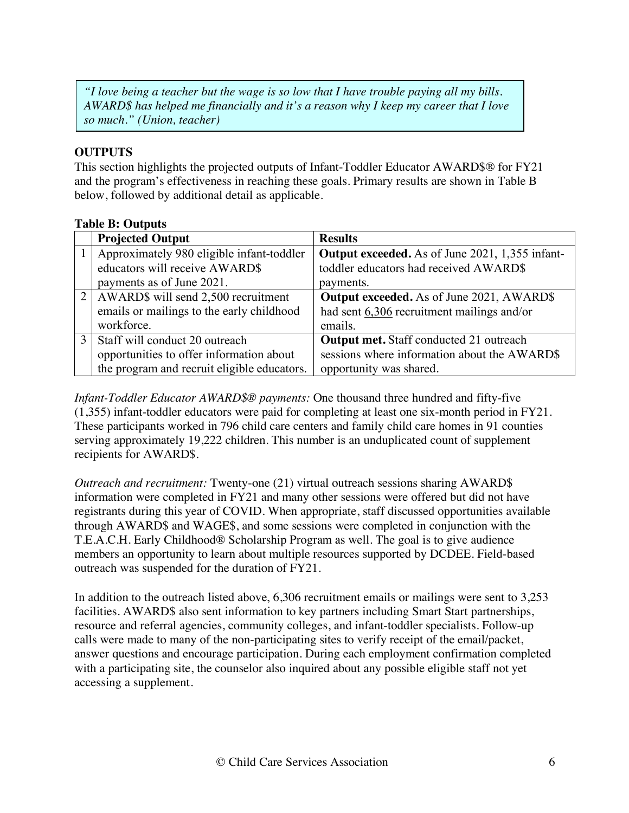*"I love being a teacher but the wage is so low that I have trouble paying all my bills. AWARD\$ has helped me financially and it's a reason why I keep my career that I love so much." (Union, teacher)*

# **OUTPUTS**

This section highlights the projected outputs of Infant-Toddler Educator AWARD\$® for FY21 and the program's effectiveness in reaching these goals. Primary results are shown in Table B below, followed by additional detail as applicable.

### **Table B: Outputs**

|               | <b>Projected Output</b>                     | <b>Results</b>                                         |
|---------------|---------------------------------------------|--------------------------------------------------------|
|               | Approximately 980 eligible infant-toddler   | <b>Output exceeded.</b> As of June 2021, 1,355 infant- |
|               | educators will receive AWARD\$              | toddler educators had received AWARD\$                 |
|               | payments as of June 2021.                   | payments.                                              |
|               | AWARD\$ will send 2,500 recruitment         | <b>Output exceeded.</b> As of June 2021, AWARD\$       |
|               | emails or mailings to the early childhood   | had sent $6,306$ recruitment mailings and/or           |
|               | workforce.                                  | emails.                                                |
| $\mathcal{R}$ | Staff will conduct 20 outreach              | <b>Output met.</b> Staff conducted 21 outreach         |
|               | opportunities to offer information about    | sessions where information about the AWARD\$           |
|               | the program and recruit eligible educators. | opportunity was shared.                                |

*Infant-Toddler Educator AWARD\$® payments:* One thousand three hundred and fifty-five (1,355) infant-toddler educators were paid for completing at least one six-month period in FY21. These participants worked in 796 child care centers and family child care homes in 91 counties serving approximately 19,222 children. This number is an unduplicated count of supplement recipients for AWARD\$.

*Outreach and recruitment:* Twenty-one (21) virtual outreach sessions sharing AWARD\$ information were completed in FY21 and many other sessions were offered but did not have registrants during this year of COVID. When appropriate, staff discussed opportunities available through AWARD\$ and WAGE\$, and some sessions were completed in conjunction with the T.E.A.C.H. Early Childhood® Scholarship Program as well. The goal is to give audience members an opportunity to learn about multiple resources supported by DCDEE. Field-based outreach was suspended for the duration of FY21.

In addition to the outreach listed above, 6,306 recruitment emails or mailings were sent to 3,253 facilities. AWARD\$ also sent information to key partners including Smart Start partnerships, resource and referral agencies, community colleges, and infant-toddler specialists. Follow-up calls were made to many of the non-participating sites to verify receipt of the email/packet, answer questions and encourage participation. During each employment confirmation completed with a participating site, the counselor also inquired about any possible eligible staff not yet accessing a supplement.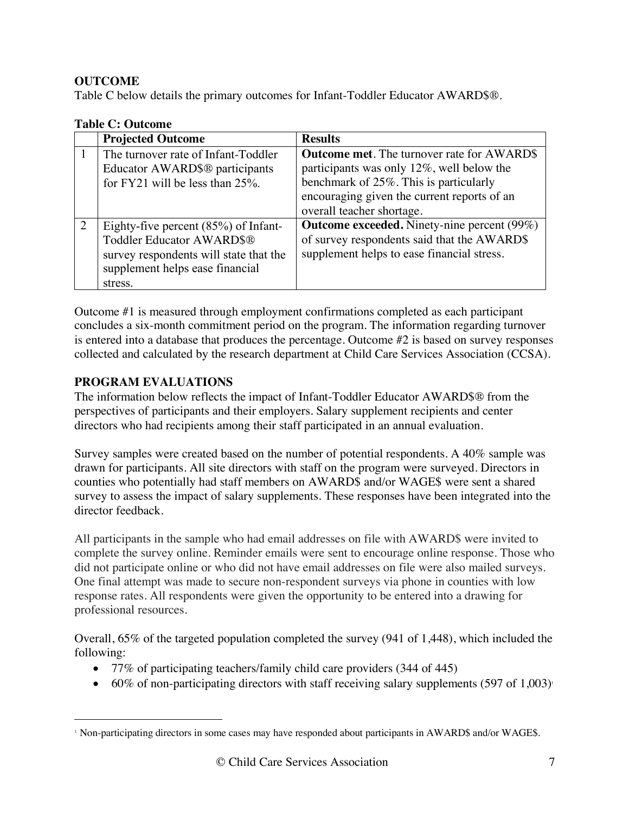# **OUTCOME**

Table C below details the primary outcomes for Infant-Toddler Educator AWARD\$®.

|   | <b>Projected Outcome</b>               | <b>Results</b>                                     |
|---|----------------------------------------|----------------------------------------------------|
|   | The turnover rate of Infant-Toddler    | <b>Outcome met.</b> The turnover rate for AWARD\$  |
|   | Educator AWARD\$® participants         | participants was only $12\%$ , well below the      |
|   | for FY21 will be less than $25\%$ .    | benchmark of 25%. This is particularly             |
|   |                                        | encouraging given the current reports of an        |
|   |                                        | overall teacher shortage.                          |
| 2 | Eighty-five percent $(85%)$ of Infant- | <b>Outcome exceeded.</b> Ninety-nine percent (99%) |
|   | Toddler Educator AWARD\$®              | of survey respondents said that the AWARD\$        |
|   | survey respondents will state that the | supplement helps to ease financial stress.         |
|   | supplement helps ease financial        |                                                    |
|   | stress.                                |                                                    |

### **Table C: Outcome**

Outcome #1 is measured through employment confirmations completed as each participant concludes a six-month commitment period on the program. The information regarding turnover is entered into a database that produces the percentage. Outcome #2 is based on survey responses collected and calculated by the research department at Child Care Services Association (CCSA).

# **PROGRAM EVALUATIONS**

The information below reflects the impact of Infant-Toddler Educator AWARD\$® from the perspectives of participants and their employers. Salary supplement recipients and center directors who had recipients among their staff participated in an annual evaluation.

Survey samples were created based on the number of potential respondents. A 40% sample was drawn for participants. All site directors with staff on the program were surveyed. Directors in counties who potentially had staff members on AWARD\$ and/or WAGE\$ were sent a shared survey to assess the impact of salary supplements. These responses have been integrated into the director feedback.

All participants in the sample who had email addresses on file with AWARD\$ were invited to complete the survey online. Reminder emails were sent to encourage online response. Those who did not participate online or who did not have email addresses on file were also mailed surveys. One final attempt was made to secure non-respondent surveys via phone in counties with low response rates. All respondents were given the opportunity to be entered into a drawing for professional resources.

Overall, 65% of the targeted population completed the survey (941 of 1,448), which included the following:

- 77% of participating teachers/family child care providers (344 of 445)
- 60% of non-participating directors with staff receiving salary supplements (597 of 1,003)<sup>1</sup>

 <sup>1</sup> Non-participating directors in some cases may have responded about participants in AWARD\$ and/or WAGE\$.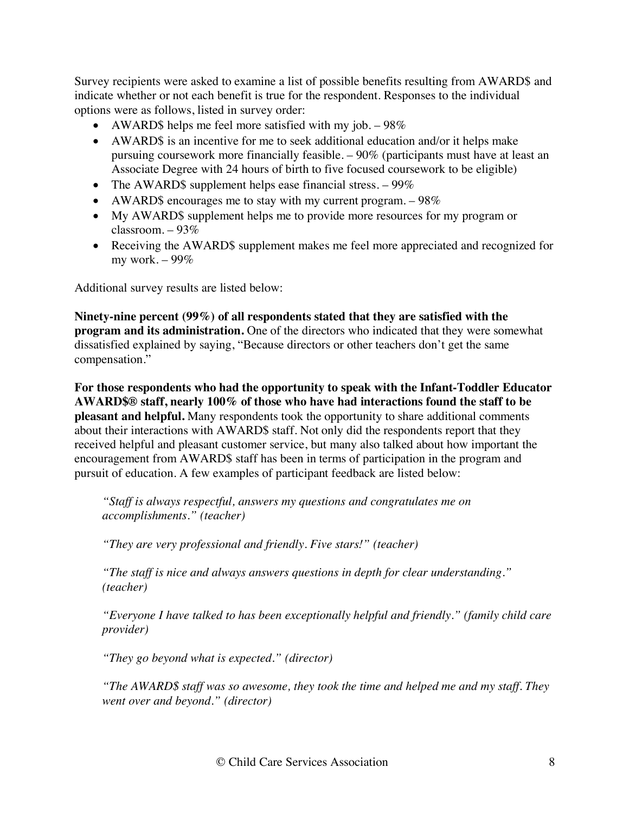Survey recipients were asked to examine a list of possible benefits resulting from AWARD\$ and indicate whether or not each benefit is true for the respondent. Responses to the individual options were as follows, listed in survey order:

- AWARD\$ helps me feel more satisfied with my job.  $-98\%$
- AWARD\$ is an incentive for me to seek additional education and/or it helps make pursuing coursework more financially feasible. – 90% (participants must have at least an Associate Degree with 24 hours of birth to five focused coursework to be eligible)
- The AWARD\$ supplement helps ease financial stress.  $-99\%$
- AWARD\$ encourages me to stay with my current program.  $-98\%$
- My AWARD\$ supplement helps me to provide more resources for my program or classroom. – 93%
- Receiving the AWARD\$ supplement makes me feel more appreciated and recognized for my work. – 99%

Additional survey results are listed below:

**Ninety-nine percent (99%) of all respondents stated that they are satisfied with the program and its administration.** One of the directors who indicated that they were somewhat dissatisfied explained by saying, "Because directors or other teachers don't get the same compensation."

**For those respondents who had the opportunity to speak with the Infant-Toddler Educator AWARD\$® staff, nearly 100% of those who have had interactions found the staff to be pleasant and helpful.** Many respondents took the opportunity to share additional comments about their interactions with AWARD\$ staff. Not only did the respondents report that they received helpful and pleasant customer service, but many also talked about how important the encouragement from AWARD\$ staff has been in terms of participation in the program and pursuit of education. A few examples of participant feedback are listed below:

*"Staff is always respectful, answers my questions and congratulates me on accomplishments." (teacher)*

*"They are very professional and friendly. Five stars!" (teacher)*

*"The staff is nice and always answers questions in depth for clear understanding." (teacher)*

*"Everyone I have talked to has been exceptionally helpful and friendly." (family child care provider)*

*"They go beyond what is expected." (director)*

*"The AWARD\$ staff was so awesome, they took the time and helped me and my staff. They went over and beyond." (director)*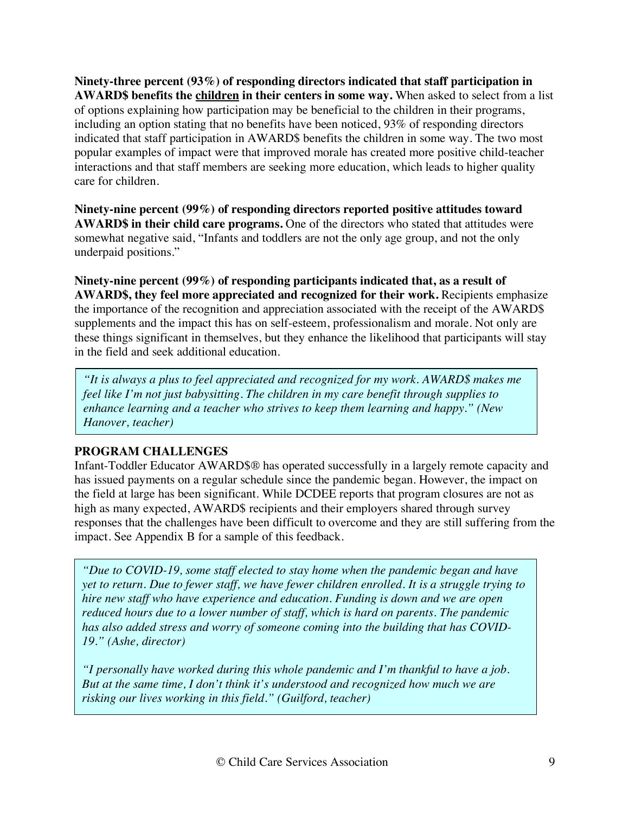**Ninety-three percent (93%) of responding directors indicated that staff participation in AWARD\$ benefits the children in their centers in some way.** When asked to select from a list of options explaining how participation may be beneficial to the children in their programs, including an option stating that no benefits have been noticed, 93% of responding directors indicated that staff participation in AWARD\$ benefits the children in some way. The two most popular examples of impact were that improved morale has created more positive child-teacher interactions and that staff members are seeking more education, which leads to higher quality care for children.

**Ninety-nine percent (99%) of responding directors reported positive attitudes toward AWARD\$ in their child care programs.** One of the directors who stated that attitudes were somewhat negative said, "Infants and toddlers are not the only age group, and not the only underpaid positions."

**Ninety-nine percent (99%) of responding participants indicated that, as a result of AWARD\$, they feel more appreciated and recognized for their work.** Recipients emphasize the importance of the recognition and appreciation associated with the receipt of the AWARD\$ supplements and the impact this has on self-esteem, professionalism and morale. Not only are these things significant in themselves, but they enhance the likelihood that participants will stay in the field and seek additional education.

*"It is always a plus to feel appreciated and recognized for my work. AWARD\$ makes me feel like I'm not just babysitting. The children in my care benefit through supplies to enhance learning and a teacher who strives to keep them learning and happy." (New Hanover, teacher)*

# **PROGRAM CHALLENGES**

Infant-Toddler Educator AWARD\$® has operated successfully in a largely remote capacity and has issued payments on a regular schedule since the pandemic began. However, the impact on the field at large has been significant. While DCDEE reports that program closures are not as high as many expected, AWARD\$ recipients and their employers shared through survey responses that the challenges have been difficult to overcome and they are still suffering from the impact. See Appendix B for a sample of this feedback.

*"Due to COVID-19, some staff elected to stay home when the pandemic began and have yet to return. Due to fewer staff, we have fewer children enrolled. It is a struggle trying to hire new staff who have experience and education. Funding is down and we are open reduced hours due to a lower number of staff, which is hard on parents. The pandemic has also added stress and worry of someone coming into the building that has COVID-19." (Ashe, director)*

*"I personally have worked during this whole pandemic and I'm thankful to have a job. But at the same time, I don't think it's understood and recognized how much we are risking our lives working in this field." (Guilford, teacher)*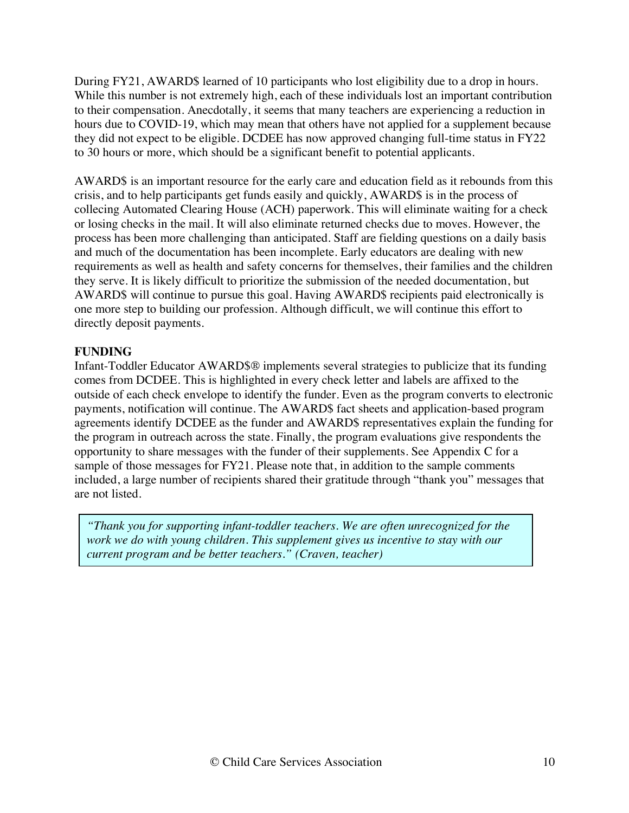During FY21, AWARD\$ learned of 10 participants who lost eligibility due to a drop in hours. While this number is not extremely high, each of these individuals lost an important contribution to their compensation. Anecdotally, it seems that many teachers are experiencing a reduction in hours due to COVID-19, which may mean that others have not applied for a supplement because they did not expect to be eligible. DCDEE has now approved changing full-time status in FY22 to 30 hours or more, which should be a significant benefit to potential applicants.

AWARD\$ is an important resource for the early care and education field as it rebounds from this crisis, and to help participants get funds easily and quickly, AWARD\$ is in the process of collecing Automated Clearing House (ACH) paperwork. This will eliminate waiting for a check or losing checks in the mail. It will also eliminate returned checks due to moves. However, the process has been more challenging than anticipated. Staff are fielding questions on a daily basis and much of the documentation has been incomplete. Early educators are dealing with new requirements as well as health and safety concerns for themselves, their families and the children they serve. It is likely difficult to prioritize the submission of the needed documentation, but AWARD\$ will continue to pursue this goal. Having AWARD\$ recipients paid electronically is one more step to building our profession. Although difficult, we will continue this effort to directly deposit payments.

### **FUNDING**

Infant-Toddler Educator AWARD\$® implements several strategies to publicize that its funding comes from DCDEE. This is highlighted in every check letter and labels are affixed to the outside of each check envelope to identify the funder. Even as the program converts to electronic payments, notification will continue. The AWARD\$ fact sheets and application-based program agreements identify DCDEE as the funder and AWARD\$ representatives explain the funding for the program in outreach across the state. Finally, the program evaluations give respondents the opportunity to share messages with the funder of their supplements. See Appendix C for a sample of those messages for FY21. Please note that, in addition to the sample comments included, a large number of recipients shared their gratitude through "thank you" messages that are not listed.

*"Thank you for supporting infant-toddler teachers. We are often unrecognized for the work we do with young children. This supplement gives us incentive to stay with our current program and be better teachers." (Craven, teacher)*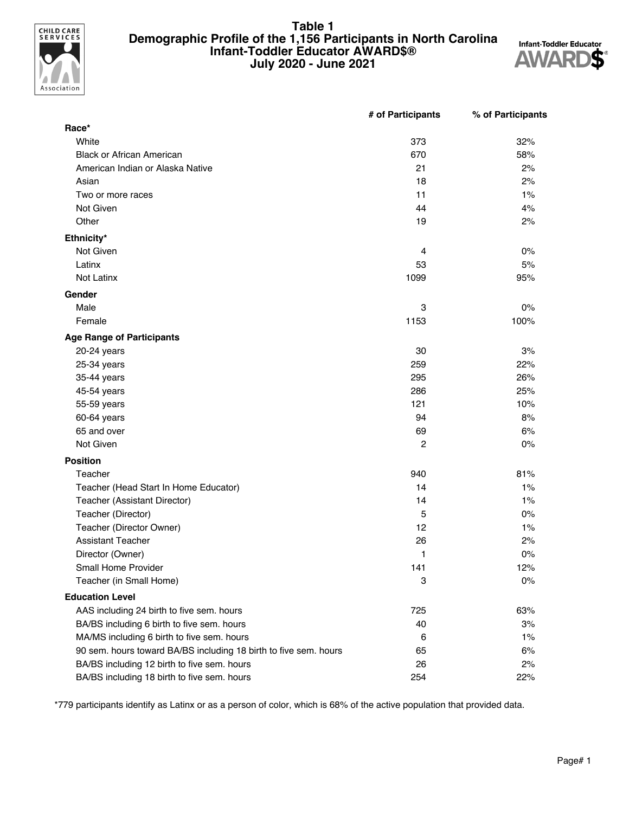

#### **Table 1 Demographic Profile of the 1,156 Participants in North Carolina Infant-Toddler Educator AWARD\$® July 2020 - June 2021**



|                                                                  | # of Participants | % of Participants |
|------------------------------------------------------------------|-------------------|-------------------|
| Race*                                                            |                   |                   |
| White                                                            | 373               | 32%               |
| <b>Black or African American</b>                                 | 670               | 58%               |
| American Indian or Alaska Native                                 | 21                | 2%                |
| Asian                                                            | 18                | 2%                |
| Two or more races                                                | 11                | 1%                |
| Not Given                                                        | 44                | 4%                |
| Other                                                            | 19                | 2%                |
| Ethnicity*                                                       |                   |                   |
| Not Given                                                        | 4                 | 0%                |
| Latinx                                                           | 53                | 5%                |
| Not Latinx                                                       | 1099              | 95%               |
| Gender                                                           |                   |                   |
| Male                                                             | 3                 | 0%                |
| Female                                                           | 1153              | 100%              |
| <b>Age Range of Participants</b>                                 |                   |                   |
| 20-24 years                                                      | 30                | 3%                |
| 25-34 years                                                      | 259               | 22%               |
| 35-44 years                                                      | 295               | 26%               |
| 45-54 years                                                      | 286               | 25%               |
| 55-59 years                                                      | 121               | 10%               |
| 60-64 years                                                      | 94                | 8%                |
| 65 and over                                                      | 69                | 6%                |
| Not Given                                                        | 2                 | 0%                |
| <b>Position</b>                                                  |                   |                   |
| Teacher                                                          | 940               | 81%               |
| Teacher (Head Start In Home Educator)                            | 14                | 1%                |
| Teacher (Assistant Director)                                     | 14                | 1%                |
| Teacher (Director)                                               | 5                 | 0%                |
| Teacher (Director Owner)                                         | 12                | 1%                |
| <b>Assistant Teacher</b>                                         | 26                | 2%                |
| Director (Owner)                                                 | 1                 | 0%                |
| Small Home Provider                                              | 141               | 12%               |
| Teacher (in Small Home)                                          | 3                 | 0%                |
| <b>Education Level</b>                                           |                   |                   |
| AAS including 24 birth to five sem. hours                        | 725               | 63%               |
| BA/BS including 6 birth to five sem. hours                       | 40                | 3%                |
| MA/MS including 6 birth to five sem. hours                       | 6                 | 1%                |
| 90 sem. hours toward BA/BS including 18 birth to five sem. hours | 65                | 6%                |
| BA/BS including 12 birth to five sem. hours                      | 26                | 2%                |
| BA/BS including 18 birth to five sem. hours                      | 254               | 22%               |

\*779 participants identify as Latinx or as a person of color, which is 68% of the active population that provided data.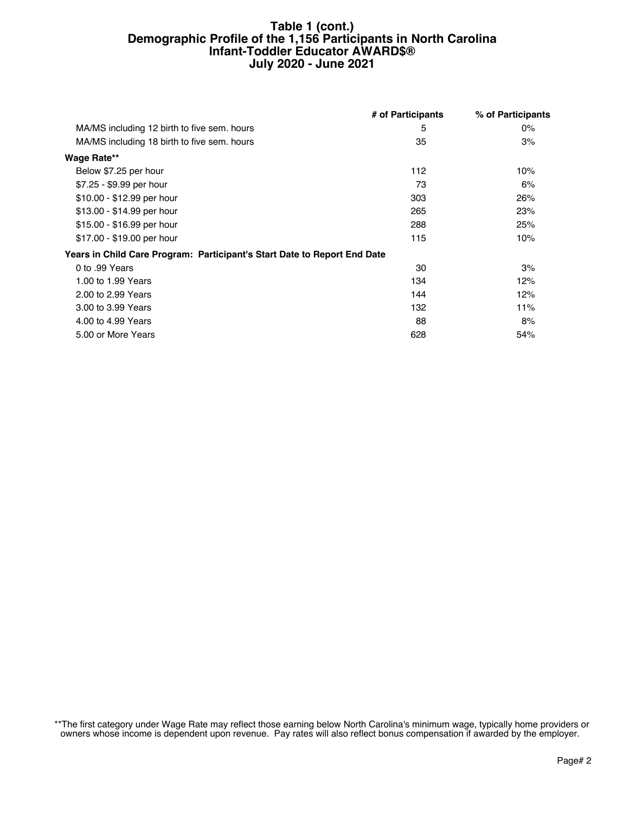#### **Table 1 (cont.) Demographic Profile of the 1,156 Participants in North Carolina Infant-Toddler Educator AWARD\$® July 2020 - June 2021**

|                                                                          | # of Participants | % of Participants |
|--------------------------------------------------------------------------|-------------------|-------------------|
| MA/MS including 12 birth to five sem. hours                              | 5                 | $0\%$             |
| MA/MS including 18 birth to five sem. hours                              | 35                | 3%                |
| <b>Wage Rate**</b>                                                       |                   |                   |
| Below \$7.25 per hour                                                    | 112               | 10%               |
| \$7.25 - \$9.99 per hour                                                 | 73                | 6%                |
| \$10.00 - \$12.99 per hour                                               | 303               | 26%               |
| \$13.00 - \$14.99 per hour                                               | 265               | 23%               |
| \$15.00 - \$16.99 per hour                                               | 288               | 25%               |
| \$17.00 - \$19.00 per hour                                               | 115               | 10%               |
| Years in Child Care Program: Participant's Start Date to Report End Date |                   |                   |
| 0 to .99 Years                                                           | 30                | 3%                |
| 1.00 to 1.99 Years                                                       | 134               | 12%               |
| 2.00 to 2.99 Years                                                       | 144               | 12%               |
| 3.00 to 3.99 Years                                                       | 132               | 11%               |
| 4.00 to 4.99 Years                                                       | 88                | 8%                |
| 5.00 or More Years                                                       | 628               | 54%               |

\*\*The first category under Wage Rate may reflect those earning below North Carolina's minimum wage, typically home providers or owners whose income is dependent upon revenue. Pay rates will also reflect bonus compensation if awarded by the employer.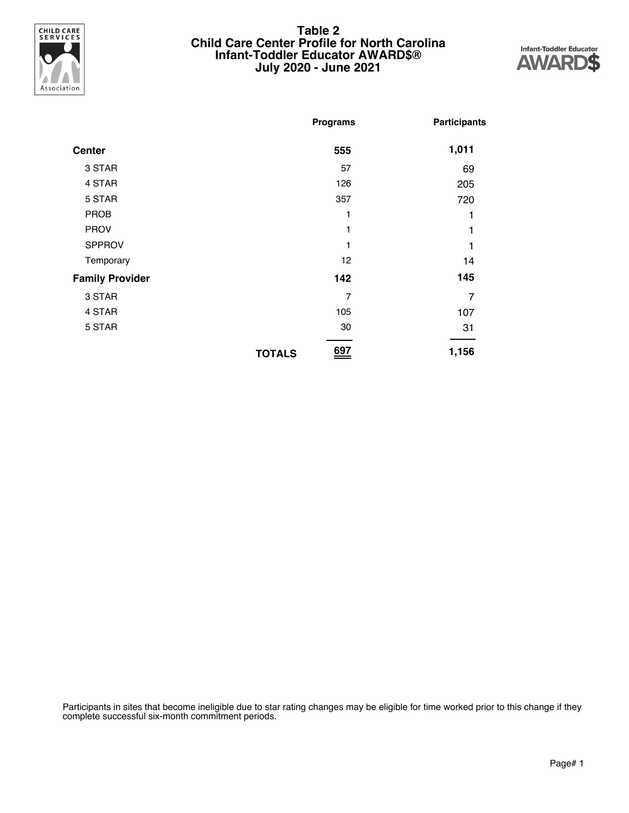

#### **Table 2 Child Care Center Profile for North Carolina Infant-Toddler Educator AWARD\$® July 2020 - June 2021**



|                        | <b>Programs</b> |     | <b>Participants</b> |
|------------------------|-----------------|-----|---------------------|
| <b>Center</b>          |                 | 555 | 1,011               |
| 3 STAR                 |                 | 57  | 69                  |
| 4 STAR                 |                 | 126 | 205                 |
| 5 STAR                 |                 | 357 | 720                 |
| <b>PROB</b>            |                 | 1   |                     |
| <b>PROV</b>            |                 | 1   |                     |
| <b>SPPROV</b>          |                 | 1   |                     |
| Temporary              |                 | 12  | 14                  |
| <b>Family Provider</b> |                 | 142 | 145                 |
| 3 STAR                 |                 | 7   | $\overline{7}$      |
| 4 STAR                 |                 | 105 | 107                 |
| 5 STAR                 |                 | 30  | 31                  |
|                        | <b>TOTALS</b>   | 697 | 1,156               |

Participants in sites that become ineligible due to star rating changes may be eligible for time worked prior to this change if they complete successful six-month commitment periods.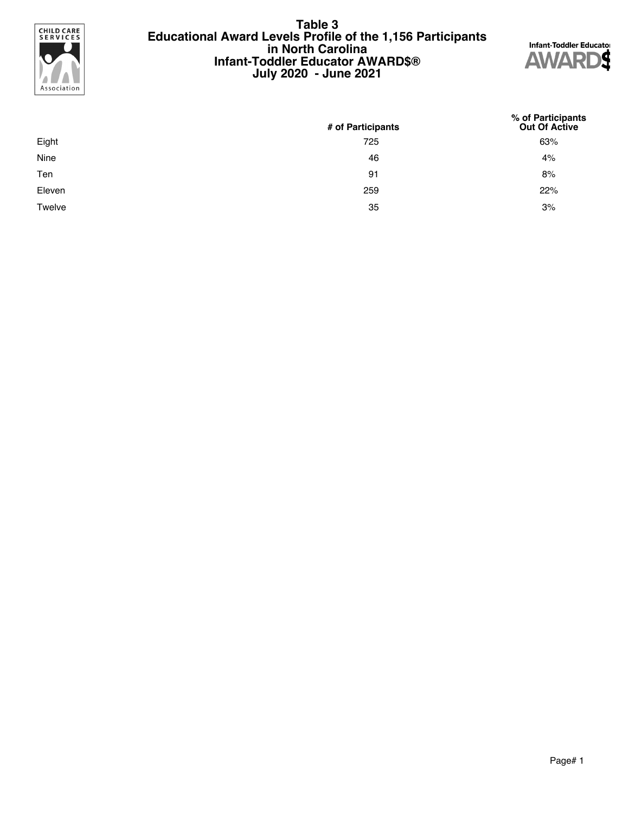

#### **Table 3 Educational Award Levels Profile of the 1,156 Participants in North Carolina Infant-Toddler Educator AWARD\$® July 2020 - June 2021**



|        | # of Participants | % of Participants<br>Out Of Active |
|--------|-------------------|------------------------------------|
| Eight  | 725               | 63%                                |
| Nine   | 46                | 4%                                 |
| Ten    | 91                | 8%                                 |
| Eleven | 259               | 22%                                |
| Twelve | 35                | 3%                                 |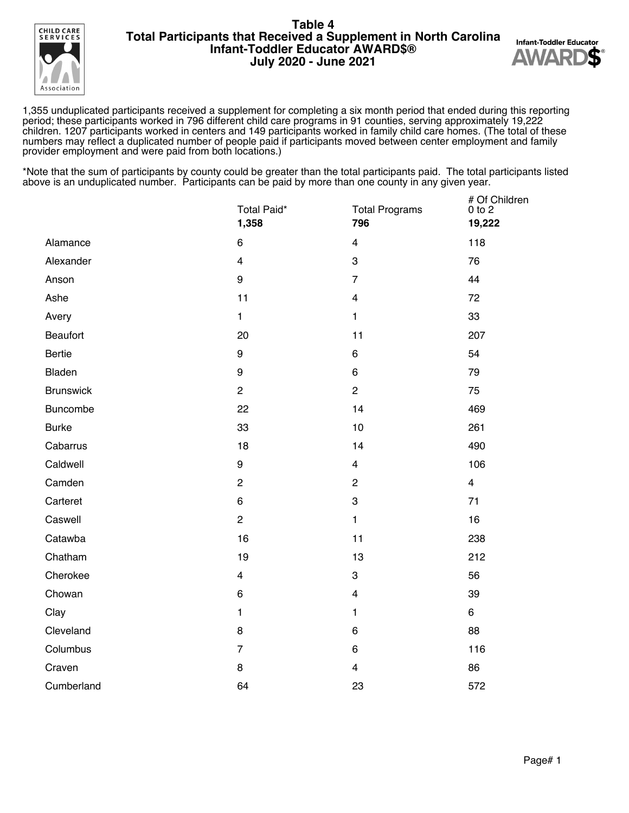



1,355 unduplicated participants received a supplement for completing a six month period that ended during this reporting period; these participants worked in 796 different child care programs in 91 counties, serving approximately 19,222 children. 1207 participants worked in centers and 149 participants worked in family child care homes. (The total of these numbers may reflect a duplicated number of people paid if participants moved between center employment and family provider employment and were paid from both locations.)

|                  | Total Paid*<br>1,358 | <b>Total Programs</b><br>796 | # Of Children<br>$0$ to $2$<br>19,222 |
|------------------|----------------------|------------------------------|---------------------------------------|
| Alamance         | $\,6$                | $\overline{\mathbf{4}}$      | 118                                   |
| Alexander        | $\overline{4}$       | 3                            | 76                                    |
| Anson            | 9                    | $\overline{7}$               | 44                                    |
| Ashe             | 11                   | $\overline{4}$               | 72                                    |
| Avery            | $\mathbf{1}$         | $\mathbf{1}$                 | 33                                    |
| <b>Beaufort</b>  | 20                   | 11                           | 207                                   |
| Bertie           | $\boldsymbol{9}$     | 6                            | 54                                    |
| Bladen           | 9                    | 6                            | 79                                    |
| <b>Brunswick</b> | $\overline{c}$       | $\overline{c}$               | 75                                    |
| Buncombe         | 22                   | 14                           | 469                                   |
| <b>Burke</b>     | 33                   | 10                           | 261                                   |
| Cabarrus         | 18                   | 14                           | 490                                   |
| Caldwell         | $\boldsymbol{9}$     | $\overline{4}$               | 106                                   |
| Camden           | $\overline{c}$       | $\overline{c}$               | $\overline{4}$                        |
| Carteret         | $\,6$                | $\ensuremath{\mathsf{3}}$    | 71                                    |
| Caswell          | $\overline{c}$       | $\mathbf{1}$                 | 16                                    |
| Catawba          | 16                   | 11                           | 238                                   |
| Chatham          | 19                   | 13                           | 212                                   |
| Cherokee         | $\overline{4}$       | 3                            | 56                                    |
| Chowan           | $\,6$                | $\overline{\mathbf{4}}$      | 39                                    |
| Clay             | $\mathbf{1}$         | $\mathbf{1}$                 | 6                                     |
| Cleveland        | 8                    | 6                            | 88                                    |
| Columbus         | $\overline{7}$       | $\,6\,$                      | 116                                   |
| Craven           | 8                    | $\overline{4}$               | 86                                    |
| Cumberland       | 64                   | 23                           | 572                                   |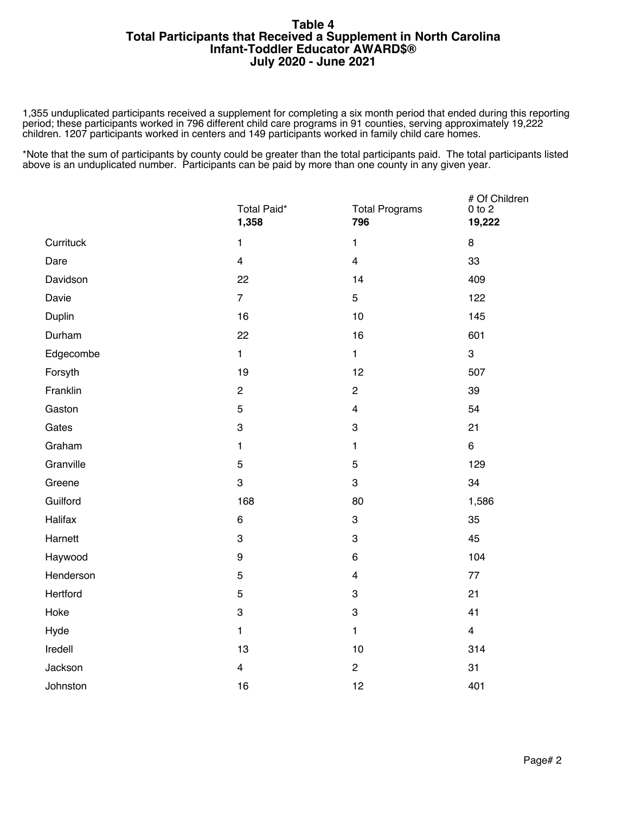1,355 unduplicated participants received a supplement for completing a six month period that ended during this reporting period; these participants worked in 796 different child care programs in 91 counties, serving approximately 19,222 children. 1207 participants worked in centers and 149 participants worked in family child care homes.

|           | Total Paid*<br>1,358      | <b>Total Programs</b><br>796 | # Of Children<br>$0$ to $2$<br>19,222 |
|-----------|---------------------------|------------------------------|---------------------------------------|
| Currituck | $\mathbf{1}$              | $\mathbf{1}$                 | 8                                     |
| Dare      | $\overline{4}$            | $\overline{\mathbf{4}}$      | 33                                    |
| Davidson  | 22                        | 14                           | 409                                   |
| Davie     | $\overline{7}$            | 5                            | 122                                   |
| Duplin    | 16                        | 10                           | 145                                   |
| Durham    | 22                        | 16                           | 601                                   |
| Edgecombe | $\mathbf{1}$              | $\mathbf{1}$                 | 3                                     |
| Forsyth   | 19                        | 12                           | 507                                   |
| Franklin  | $\mathbf{2}$              | $\overline{c}$               | 39                                    |
| Gaston    | 5                         | $\overline{\mathbf{4}}$      | 54                                    |
| Gates     | $\ensuremath{\mathsf{3}}$ | $\ensuremath{\mathsf{3}}$    | 21                                    |
| Graham    | $\mathbf{1}$              | $\mathbf{1}$                 | $6\phantom{a}$                        |
| Granville | 5                         | $\mathbf 5$                  | 129                                   |
| Greene    | 3                         | 3                            | 34                                    |
| Guilford  | 168                       | 80                           | 1,586                                 |
| Halifax   | $\,6\,$                   | 3                            | 35                                    |
| Harnett   | 3                         | 3                            | 45                                    |
| Haywood   | $\boldsymbol{9}$          | $\,6\,$                      | 104                                   |
| Henderson | $\mathbf 5$               | $\overline{\mathbf{4}}$      | 77                                    |
| Hertford  | $\sqrt{5}$                | 3                            | 21                                    |
| Hoke      | $\ensuremath{\mathsf{3}}$ | $\ensuremath{\mathsf{3}}$    | 41                                    |
| Hyde      | $\mathbf{1}$              | $\mathbf{1}$                 | $\overline{4}$                        |
| Iredell   | 13                        | 10                           | 314                                   |
| Jackson   | $\overline{\mathbf{4}}$   | $\overline{\mathbf{c}}$      | 31                                    |
| Johnston  | 16                        | 12                           | 401                                   |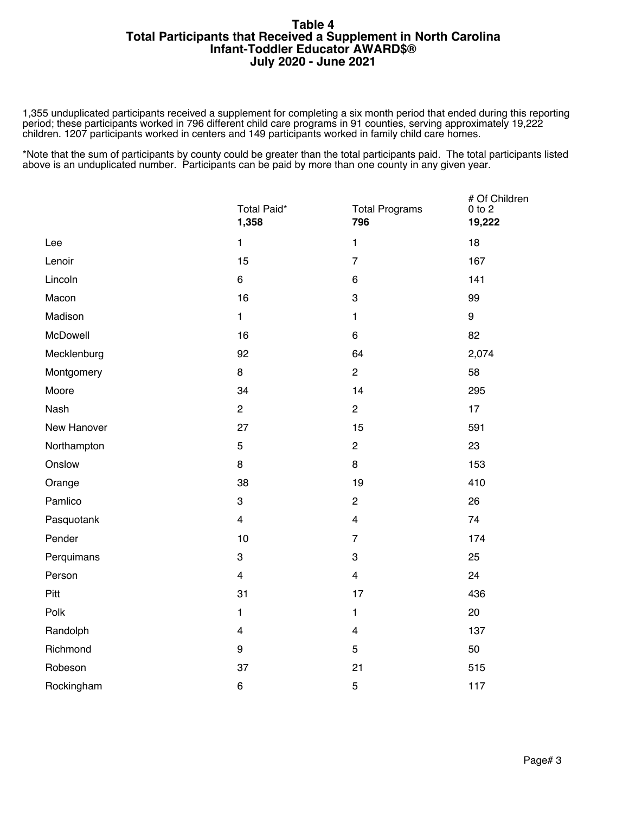1,355 unduplicated participants received a supplement for completing a six month period that ended during this reporting period; these participants worked in 796 different child care programs in 91 counties, serving approximately 19,222 children. 1207 participants worked in centers and 149 participants worked in family child care homes.

|             | Total Paid*<br>1,358    | <b>Total Programs</b><br>796 | # Of Children<br>$0$ to $2$<br>19,222 |
|-------------|-------------------------|------------------------------|---------------------------------------|
| Lee         | $\mathbf{1}$            | $\mathbf{1}$                 | 18                                    |
| Lenoir      | 15                      | $\overline{7}$               | 167                                   |
| Lincoln     | 6                       | 6                            | 141                                   |
| Macon       | 16                      | 3                            | 99                                    |
| Madison     | $\mathbf{1}$            | $\mathbf{1}$                 | 9                                     |
| McDowell    | 16                      | 6                            | 82                                    |
| Mecklenburg | 92                      | 64                           | 2,074                                 |
| Montgomery  | 8                       | $\overline{2}$               | 58                                    |
| Moore       | 34                      | 14                           | 295                                   |
| Nash        | $\overline{c}$          | $\overline{c}$               | 17                                    |
| New Hanover | 27                      | 15                           | 591                                   |
| Northampton | 5                       | $\overline{c}$               | 23                                    |
| Onslow      | 8                       | 8                            | 153                                   |
| Orange      | 38                      | 19                           | 410                                   |
| Pamlico     | 3                       | $\overline{c}$               | 26                                    |
| Pasquotank  | $\overline{\mathbf{4}}$ | $\overline{4}$               | 74                                    |
| Pender      | 10                      | $\overline{7}$               | 174                                   |
| Perquimans  | 3                       | 3                            | 25                                    |
| Person      | $\overline{\mathbf{4}}$ | $\overline{4}$               | 24                                    |
| Pitt        | 31                      | 17                           | 436                                   |
| Polk        | $\mathbf{1}$            | $\mathbf{1}$                 | 20                                    |
| Randolph    | $\overline{\mathbf{4}}$ | $\overline{\mathbf{4}}$      | 137                                   |
| Richmond    | $\boldsymbol{9}$        | 5                            | 50                                    |
| Robeson     | 37                      | 21                           | 515                                   |
| Rockingham  | $\,6$                   | 5                            | 117                                   |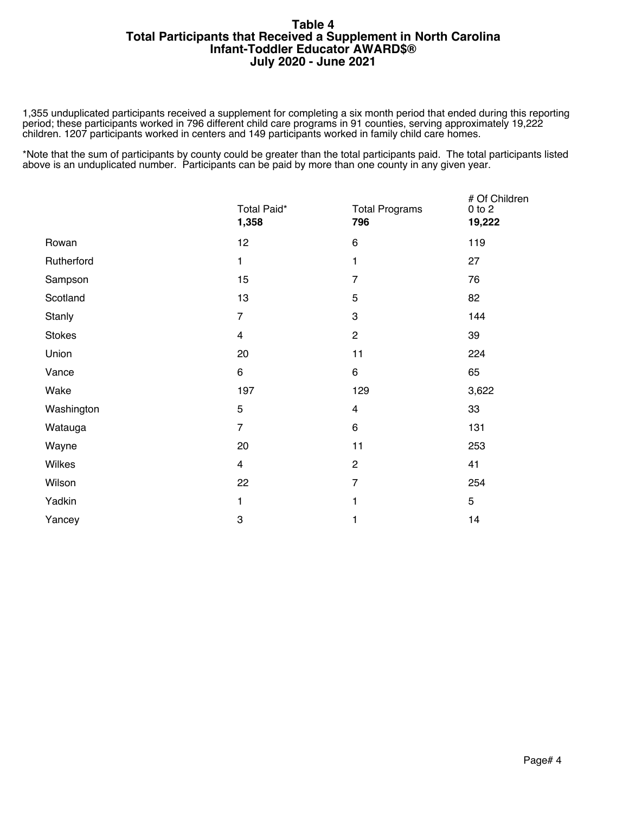1,355 unduplicated participants received a supplement for completing a six month period that ended during this reporting period; these participants worked in 796 different child care programs in 91 counties, serving approximately 19,222 children. 1207 participants worked in centers and 149 participants worked in family child care homes.

|            | Total Paid*<br>1,358    | <b>Total Programs</b><br>796 | # Of Children<br>$0$ to $2$<br>19,222 |
|------------|-------------------------|------------------------------|---------------------------------------|
| Rowan      | 12                      | $\,6$                        | 119                                   |
| Rutherford | $\mathbf{1}$            | 1                            | 27                                    |
| Sampson    | 15                      | $\overline{7}$               | 76                                    |
| Scotland   | 13                      | 5                            | 82                                    |
| Stanly     | $\overline{7}$          | 3                            | 144                                   |
| Stokes     | $\overline{\mathbf{4}}$ | $\overline{c}$               | 39                                    |
| Union      | 20                      | 11                           | 224                                   |
| Vance      | 6                       | 6                            | 65                                    |
| Wake       | 197                     | 129                          | 3,622                                 |
| Washington | $\mathbf 5$             | $\overline{\mathbf{4}}$      | 33                                    |
| Watauga    | $\overline{7}$          | $\,6\,$                      | 131                                   |
| Wayne      | 20                      | 11                           | 253                                   |
| Wilkes     | $\overline{\mathbf{4}}$ | $\boldsymbol{2}$             | 41                                    |
| Wilson     | 22                      | $\overline{7}$               | 254                                   |
| Yadkin     | 1                       | 1                            | 5                                     |
| Yancey     | 3                       | 1                            | 14                                    |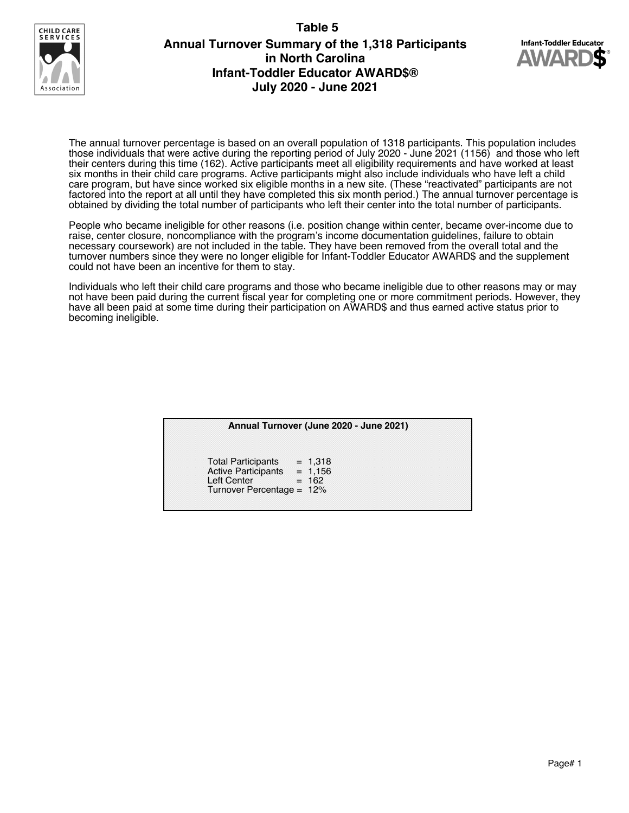### **Table 5**



# **Annual Turnover Summary of the 1,318 Participants in North Carolina Infant-Toddler Educator AWARD\$® July 2020 - June 2021**



The annual turnover percentage is based on an overall population of 1318 participants. This population includes those individuals that were active during the reporting period of July 2020 - June 2021 (1156) and those who left their centers during this time (162). Active participants meet all eligibility requirements and have worked at least six months in their child care programs. Active participants might also include individuals who have left a child care program, but have since worked six eligible months in a new site. (These "reactivated" participants are not factored into the report at all until they have completed this six month period.) The annual turnover percentage is obtained by dividing the total number of participants who left their center into the total number of participants.

People who became ineligible for other reasons (i.e. position change within center, became over-income due to raise, center closure, noncompliance with the program's income documentation guidelines, failure to obtain necessary coursework) are not included in the table. They have been removed from the overall total and the turnover numbers since they were no longer eligible for Infant-Toddler Educator AWARD\$ and the supplement could not have been an incentive for them to stay.

Individuals who left their child care programs and those who became ineligible due to other reasons may or may not have been paid during the current fiscal year for completing one or more commitment periods. However, they have all been paid at some time during their participation on AWARD\$ and thus earned active status prior to becoming ineligible.

|                                                                                                           | Annual Turnover (June 2020 - June 2021) |
|-----------------------------------------------------------------------------------------------------------|-----------------------------------------|
| Total Participants = $1,318$<br>Active Participants = $1,156$<br>Left Center<br>Turnover Percentage = 12% | $= 162$                                 |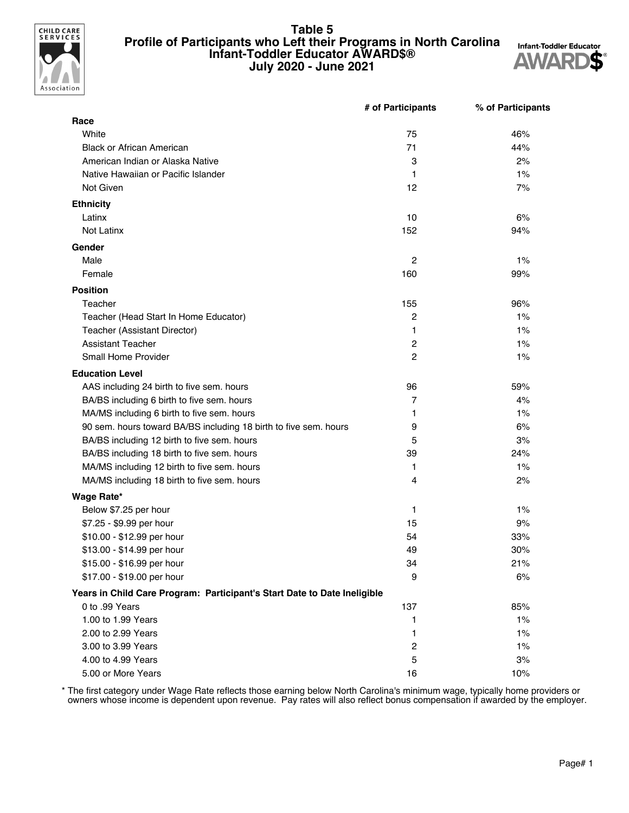

#### **Table 5 Profile of Participants who Left their Programs in North Carolina Infant-Toddler Educator AWARD\$® July 2020 - June 2021**



|                                                                          | # of Participants | % of Participants |
|--------------------------------------------------------------------------|-------------------|-------------------|
| Race                                                                     |                   |                   |
| White                                                                    | 75                | 46%               |
| <b>Black or African American</b>                                         | 71                | 44%               |
| American Indian or Alaska Native                                         | 3                 | 2%                |
| Native Hawaiian or Pacific Islander                                      | 1                 | 1%                |
| Not Given                                                                | 12                | 7%                |
| <b>Ethnicity</b>                                                         |                   |                   |
| Latinx                                                                   | 10                | 6%                |
| Not Latinx                                                               | 152               | 94%               |
| Gender                                                                   |                   |                   |
| Male                                                                     | $\overline{2}$    | 1%                |
| Female                                                                   | 160               | 99%               |
| <b>Position</b>                                                          |                   |                   |
| Teacher                                                                  | 155               | 96%               |
| Teacher (Head Start In Home Educator)                                    | 2                 | 1%                |
| Teacher (Assistant Director)                                             | $\mathbf{1}$      | 1%                |
| <b>Assistant Teacher</b>                                                 | $\overline{c}$    | 1%                |
| <b>Small Home Provider</b>                                               | $\overline{c}$    | 1%                |
| <b>Education Level</b>                                                   |                   |                   |
| AAS including 24 birth to five sem. hours                                | 96                | 59%               |
| BA/BS including 6 birth to five sem. hours                               | 7                 | 4%                |
| MA/MS including 6 birth to five sem. hours                               | 1                 | 1%                |
| 90 sem. hours toward BA/BS including 18 birth to five sem. hours         | 9                 | 6%                |
| BA/BS including 12 birth to five sem. hours                              | 5                 | 3%                |
| BA/BS including 18 birth to five sem. hours                              | 39                | 24%               |
| MA/MS including 12 birth to five sem. hours                              | 1                 | $1\%$             |
| MA/MS including 18 birth to five sem. hours                              | 4                 | 2%                |
| Wage Rate*                                                               |                   |                   |
| Below \$7.25 per hour                                                    | 1                 | $1\%$             |
| \$7.25 - \$9.99 per hour                                                 | 15                | 9%                |
| \$10.00 - \$12.99 per hour                                               | 54                | 33%               |
| \$13.00 - \$14.99 per hour                                               | 49                | 30%               |
| \$15.00 - \$16.99 per hour                                               | 34                | 21%               |
| \$17.00 - \$19.00 per hour                                               | 9                 | 6%                |
| Years in Child Care Program: Participant's Start Date to Date Ineligible |                   |                   |
| 0 to .99 Years                                                           | 137               | 85%               |
| 1.00 to 1.99 Years                                                       | 1                 | $1\%$             |
| 2.00 to 2.99 Years                                                       | 1                 | $1\%$             |
| 3.00 to 3.99 Years                                                       | $\overline{c}$    | 1%                |
| 4.00 to 4.99 Years                                                       | 5                 | 3%                |
| 5.00 or More Years                                                       | 16                | 10%               |

\* The first category under Wage Rate reflects those earning below North Carolina's minimum wage, typically home providers or owners whose income is dependent upon revenue. Pay rates will also reflect bonus compensation if awarded by the employer.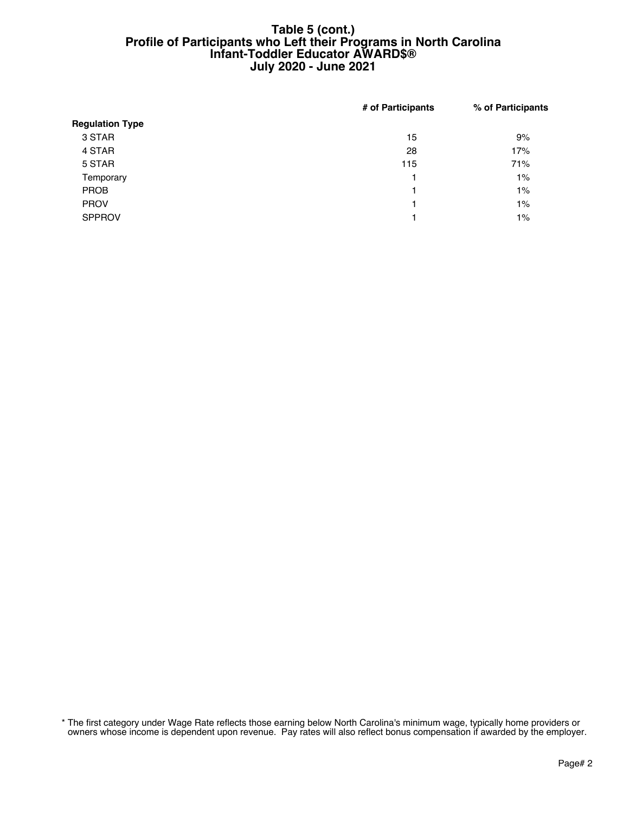#### **Table 5 (cont.) Profile of Participants who Left their Programs in North Carolina Infant-Toddler Educator AWARD\$® July 2020 - June 2021**

|                        | # of Participants | % of Participants |
|------------------------|-------------------|-------------------|
| <b>Regulation Type</b> |                   |                   |
| 3 STAR                 | 15                | 9%                |
| 4 STAR                 | 28                | 17%               |
| 5 STAR                 | 115               | 71%               |
| Temporary              | 1                 | 1%                |
| <b>PROB</b>            | 1                 | 1%                |
| <b>PROV</b>            | 1                 | $1\%$             |
| <b>SPPROV</b>          | 1                 | $1\%$             |
|                        |                   |                   |

\* The first category under Wage Rate reflects those earning below North Carolina's minimum wage, typically home providers or owners whose income is dependent upon revenue. Pay rates will also reflect bonus compensation if awarded by the employer.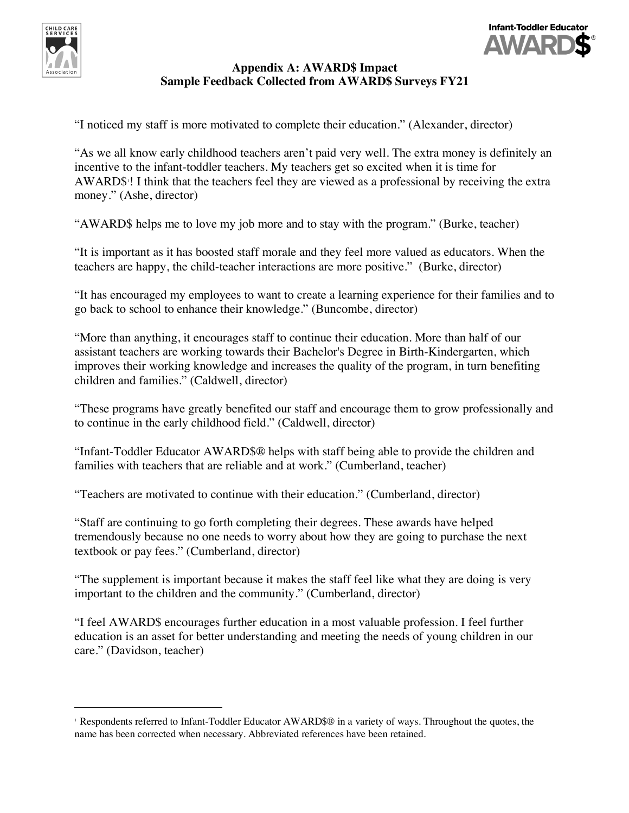



# **Appendix A: AWARD\$ Impact Sample Feedback Collected from AWARD\$ Surveys FY21**

"I noticed my staff is more motivated to complete their education." (Alexander, director)

"As we all know early childhood teachers aren't paid very well. The extra money is definitely an incentive to the infant-toddler teachers. My teachers get so excited when it is time for AWARD\$<sup>1</sup>! I think that the teachers feel they are viewed as a professional by receiving the extra money." (Ashe, director)

"AWARD\$ helps me to love my job more and to stay with the program." (Burke, teacher)

"It is important as it has boosted staff morale and they feel more valued as educators. When the teachers are happy, the child-teacher interactions are more positive." (Burke, director)

"It has encouraged my employees to want to create a learning experience for their families and to go back to school to enhance their knowledge." (Buncombe, director)

"More than anything, it encourages staff to continue their education. More than half of our assistant teachers are working towards their Bachelor's Degree in Birth-Kindergarten, which improves their working knowledge and increases the quality of the program, in turn benefiting children and families." (Caldwell, director)

"These programs have greatly benefited our staff and encourage them to grow professionally and to continue in the early childhood field." (Caldwell, director)

"Infant-Toddler Educator AWARD\$® helps with staff being able to provide the children and families with teachers that are reliable and at work." (Cumberland, teacher)

"Teachers are motivated to continue with their education." (Cumberland, director)

"Staff are continuing to go forth completing their degrees. These awards have helped tremendously because no one needs to worry about how they are going to purchase the next textbook or pay fees." (Cumberland, director)

"The supplement is important because it makes the staff feel like what they are doing is very important to the children and the community." (Cumberland, director)

"I feel AWARD\$ encourages further education in a most valuable profession. I feel further education is an asset for better understanding and meeting the needs of young children in our care." (Davidson, teacher)

<sup>&</sup>lt;sup>1</sup> Respondents referred to Infant-Toddler Educator AWARD\$® in a variety of ways. Throughout the quotes, the name has been corrected when necessary. Abbreviated references have been retained.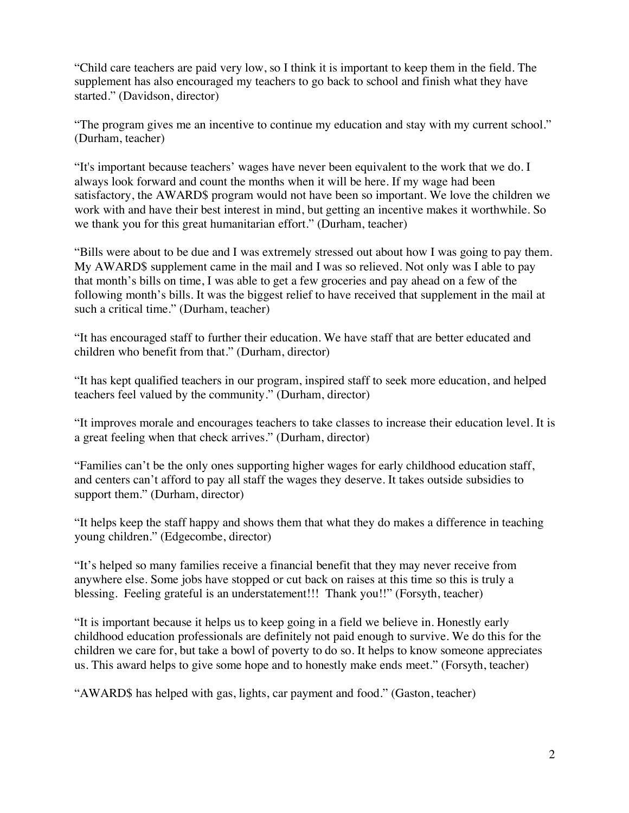"Child care teachers are paid very low, so I think it is important to keep them in the field. The supplement has also encouraged my teachers to go back to school and finish what they have started." (Davidson, director)

"The program gives me an incentive to continue my education and stay with my current school." (Durham, teacher)

"It's important because teachers' wages have never been equivalent to the work that we do. I always look forward and count the months when it will be here. If my wage had been satisfactory, the AWARD\$ program would not have been so important. We love the children we work with and have their best interest in mind, but getting an incentive makes it worthwhile. So we thank you for this great humanitarian effort." (Durham, teacher)

"Bills were about to be due and I was extremely stressed out about how I was going to pay them. My AWARD\$ supplement came in the mail and I was so relieved. Not only was I able to pay that month's bills on time, I was able to get a few groceries and pay ahead on a few of the following month's bills. It was the biggest relief to have received that supplement in the mail at such a critical time." (Durham, teacher)

"It has encouraged staff to further their education. We have staff that are better educated and children who benefit from that." (Durham, director)

"It has kept qualified teachers in our program, inspired staff to seek more education, and helped teachers feel valued by the community." (Durham, director)

"It improves morale and encourages teachers to take classes to increase their education level. It is a great feeling when that check arrives." (Durham, director)

"Families can't be the only ones supporting higher wages for early childhood education staff, and centers can't afford to pay all staff the wages they deserve. It takes outside subsidies to support them." (Durham, director)

"It helps keep the staff happy and shows them that what they do makes a difference in teaching young children." (Edgecombe, director)

"It's helped so many families receive a financial benefit that they may never receive from anywhere else. Some jobs have stopped or cut back on raises at this time so this is truly a blessing. Feeling grateful is an understatement!!! Thank you!!" (Forsyth, teacher)

"It is important because it helps us to keep going in a field we believe in. Honestly early childhood education professionals are definitely not paid enough to survive. We do this for the children we care for, but take a bowl of poverty to do so. It helps to know someone appreciates us. This award helps to give some hope and to honestly make ends meet." (Forsyth, teacher)

"AWARD\$ has helped with gas, lights, car payment and food." (Gaston, teacher)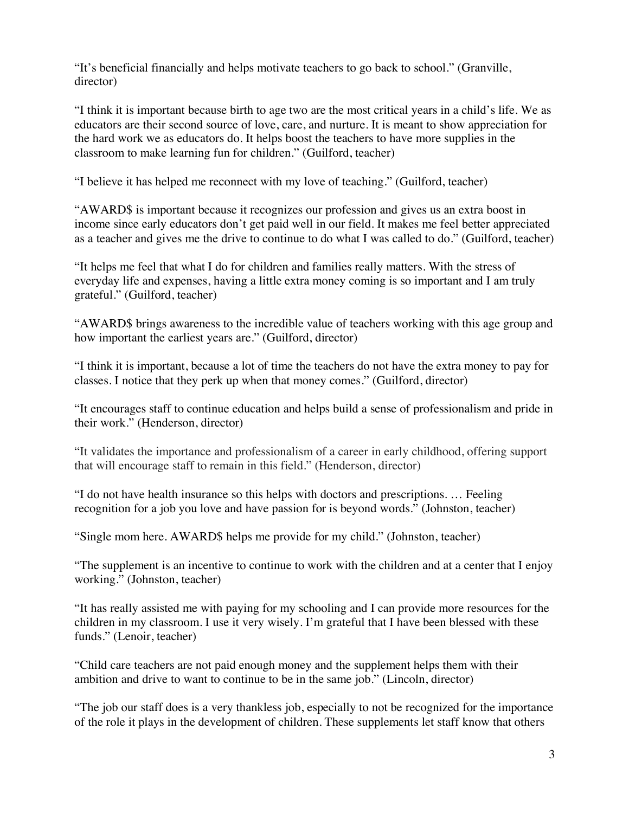"It's beneficial financially and helps motivate teachers to go back to school." (Granville, director)

"I think it is important because birth to age two are the most critical years in a child's life. We as educators are their second source of love, care, and nurture. It is meant to show appreciation for the hard work we as educators do. It helps boost the teachers to have more supplies in the classroom to make learning fun for children." (Guilford, teacher)

"I believe it has helped me reconnect with my love of teaching." (Guilford, teacher)

"AWARD\$ is important because it recognizes our profession and gives us an extra boost in income since early educators don't get paid well in our field. It makes me feel better appreciated as a teacher and gives me the drive to continue to do what I was called to do." (Guilford, teacher)

"It helps me feel that what I do for children and families really matters. With the stress of everyday life and expenses, having a little extra money coming is so important and I am truly grateful." (Guilford, teacher)

"AWARD\$ brings awareness to the incredible value of teachers working with this age group and how important the earliest years are." (Guilford, director)

"I think it is important, because a lot of time the teachers do not have the extra money to pay for classes. I notice that they perk up when that money comes." (Guilford, director)

"It encourages staff to continue education and helps build a sense of professionalism and pride in their work." (Henderson, director)

"It validates the importance and professionalism of a career in early childhood, offering support that will encourage staff to remain in this field." (Henderson, director)

"I do not have health insurance so this helps with doctors and prescriptions. … Feeling recognition for a job you love and have passion for is beyond words." (Johnston, teacher)

"Single mom here. AWARD\$ helps me provide for my child." (Johnston, teacher)

"The supplement is an incentive to continue to work with the children and at a center that I enjoy working." (Johnston, teacher)

"It has really assisted me with paying for my schooling and I can provide more resources for the children in my classroom. I use it very wisely. I'm grateful that I have been blessed with these funds." (Lenoir, teacher)

"Child care teachers are not paid enough money and the supplement helps them with their ambition and drive to want to continue to be in the same job." (Lincoln, director)

"The job our staff does is a very thankless job, especially to not be recognized for the importance of the role it plays in the development of children. These supplements let staff know that others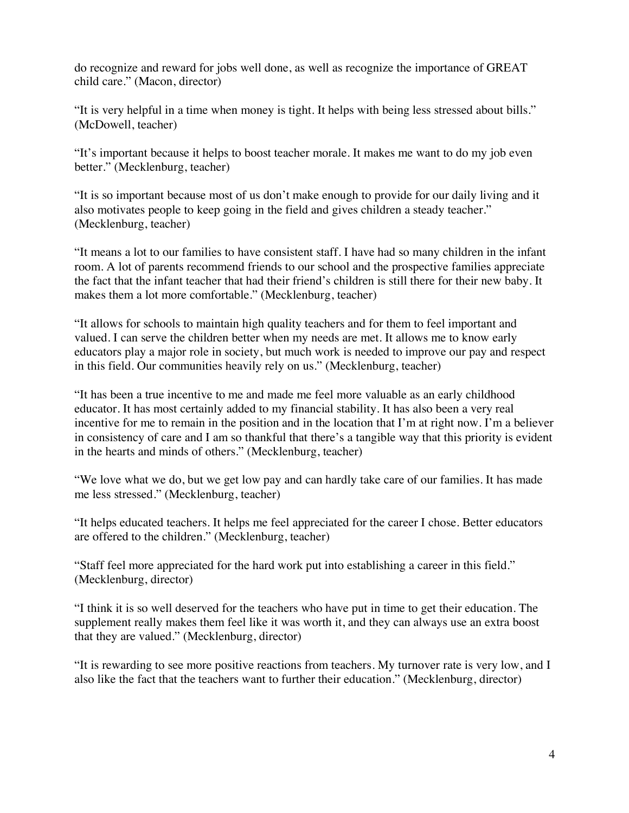do recognize and reward for jobs well done, as well as recognize the importance of GREAT child care." (Macon, director)

"It is very helpful in a time when money is tight. It helps with being less stressed about bills." (McDowell, teacher)

"It's important because it helps to boost teacher morale. It makes me want to do my job even better." (Mecklenburg, teacher)

"It is so important because most of us don't make enough to provide for our daily living and it also motivates people to keep going in the field and gives children a steady teacher." (Mecklenburg, teacher)

"It means a lot to our families to have consistent staff. I have had so many children in the infant room. A lot of parents recommend friends to our school and the prospective families appreciate the fact that the infant teacher that had their friend's children is still there for their new baby. It makes them a lot more comfortable." (Mecklenburg, teacher)

"It allows for schools to maintain high quality teachers and for them to feel important and valued. I can serve the children better when my needs are met. It allows me to know early educators play a major role in society, but much work is needed to improve our pay and respect in this field. Our communities heavily rely on us." (Mecklenburg, teacher)

"It has been a true incentive to me and made me feel more valuable as an early childhood educator. It has most certainly added to my financial stability. It has also been a very real incentive for me to remain in the position and in the location that I'm at right now. I'm a believer in consistency of care and I am so thankful that there's a tangible way that this priority is evident in the hearts and minds of others." (Mecklenburg, teacher)

"We love what we do, but we get low pay and can hardly take care of our families. It has made me less stressed." (Mecklenburg, teacher)

"It helps educated teachers. It helps me feel appreciated for the career I chose. Better educators are offered to the children." (Mecklenburg, teacher)

"Staff feel more appreciated for the hard work put into establishing a career in this field." (Mecklenburg, director)

"I think it is so well deserved for the teachers who have put in time to get their education. The supplement really makes them feel like it was worth it, and they can always use an extra boost that they are valued." (Mecklenburg, director)

"It is rewarding to see more positive reactions from teachers. My turnover rate is very low, and I also like the fact that the teachers want to further their education." (Mecklenburg, director)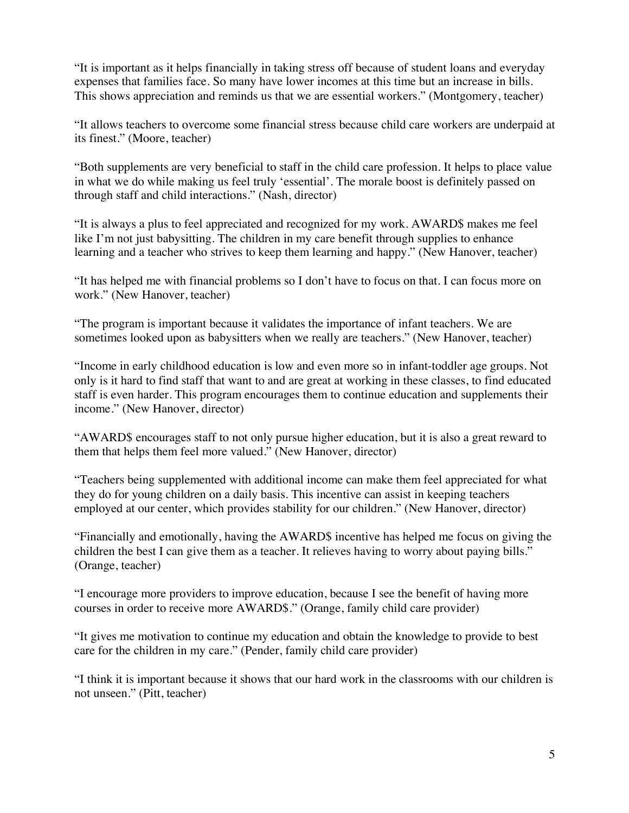"It is important as it helps financially in taking stress off because of student loans and everyday expenses that families face. So many have lower incomes at this time but an increase in bills. This shows appreciation and reminds us that we are essential workers." (Montgomery, teacher)

"It allows teachers to overcome some financial stress because child care workers are underpaid at its finest." (Moore, teacher)

"Both supplements are very beneficial to staff in the child care profession. It helps to place value in what we do while making us feel truly 'essential'. The morale boost is definitely passed on through staff and child interactions." (Nash, director)

"It is always a plus to feel appreciated and recognized for my work. AWARD\$ makes me feel like I'm not just babysitting. The children in my care benefit through supplies to enhance learning and a teacher who strives to keep them learning and happy." (New Hanover, teacher)

"It has helped me with financial problems so I don't have to focus on that. I can focus more on work." (New Hanover, teacher)

"The program is important because it validates the importance of infant teachers. We are sometimes looked upon as babysitters when we really are teachers." (New Hanover, teacher)

"Income in early childhood education is low and even more so in infant-toddler age groups. Not only is it hard to find staff that want to and are great at working in these classes, to find educated staff is even harder. This program encourages them to continue education and supplements their income." (New Hanover, director)

"AWARD\$ encourages staff to not only pursue higher education, but it is also a great reward to them that helps them feel more valued." (New Hanover, director)

"Teachers being supplemented with additional income can make them feel appreciated for what they do for young children on a daily basis. This incentive can assist in keeping teachers employed at our center, which provides stability for our children." (New Hanover, director)

"Financially and emotionally, having the AWARD\$ incentive has helped me focus on giving the children the best I can give them as a teacher. It relieves having to worry about paying bills." (Orange, teacher)

"I encourage more providers to improve education, because I see the benefit of having more courses in order to receive more AWARD\$." (Orange, family child care provider)

"It gives me motivation to continue my education and obtain the knowledge to provide to best care for the children in my care." (Pender, family child care provider)

"I think it is important because it shows that our hard work in the classrooms with our children is not unseen." (Pitt, teacher)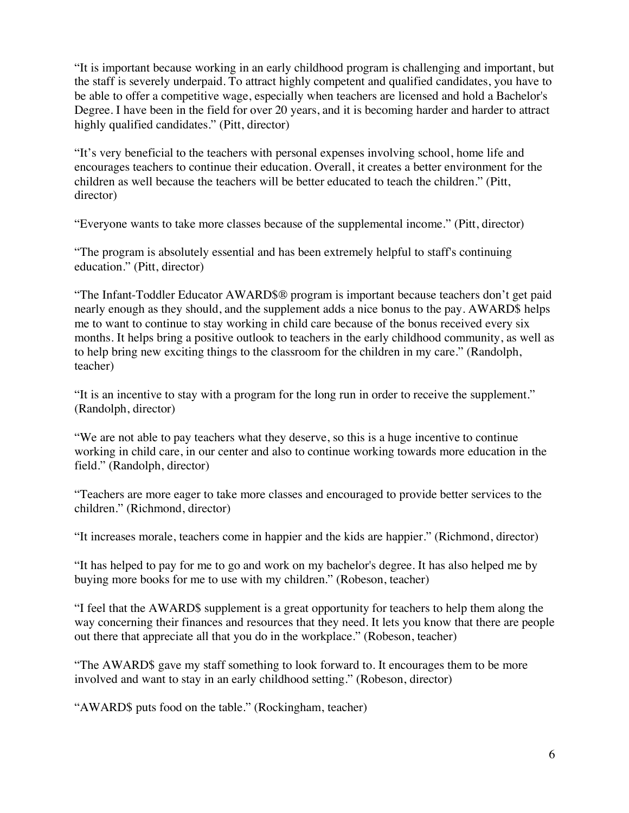"It is important because working in an early childhood program is challenging and important, but the staff is severely underpaid. To attract highly competent and qualified candidates, you have to be able to offer a competitive wage, especially when teachers are licensed and hold a Bachelor's Degree. I have been in the field for over 20 years, and it is becoming harder and harder to attract highly qualified candidates." (Pitt, director)

"It's very beneficial to the teachers with personal expenses involving school, home life and encourages teachers to continue their education. Overall, it creates a better environment for the children as well because the teachers will be better educated to teach the children." (Pitt, director)

"Everyone wants to take more classes because of the supplemental income." (Pitt, director)

"The program is absolutely essential and has been extremely helpful to staff's continuing education." (Pitt, director)

"The Infant-Toddler Educator AWARD\$® program is important because teachers don't get paid nearly enough as they should, and the supplement adds a nice bonus to the pay. AWARD\$ helps me to want to continue to stay working in child care because of the bonus received every six months. It helps bring a positive outlook to teachers in the early childhood community, as well as to help bring new exciting things to the classroom for the children in my care." (Randolph, teacher)

"It is an incentive to stay with a program for the long run in order to receive the supplement." (Randolph, director)

"We are not able to pay teachers what they deserve, so this is a huge incentive to continue working in child care, in our center and also to continue working towards more education in the field." (Randolph, director)

"Teachers are more eager to take more classes and encouraged to provide better services to the children." (Richmond, director)

"It increases morale, teachers come in happier and the kids are happier." (Richmond, director)

"It has helped to pay for me to go and work on my bachelor's degree. It has also helped me by buying more books for me to use with my children." (Robeson, teacher)

"I feel that the AWARD\$ supplement is a great opportunity for teachers to help them along the way concerning their finances and resources that they need. It lets you know that there are people out there that appreciate all that you do in the workplace." (Robeson, teacher)

"The AWARD\$ gave my staff something to look forward to. It encourages them to be more involved and want to stay in an early childhood setting." (Robeson, director)

"AWARD\$ puts food on the table." (Rockingham, teacher)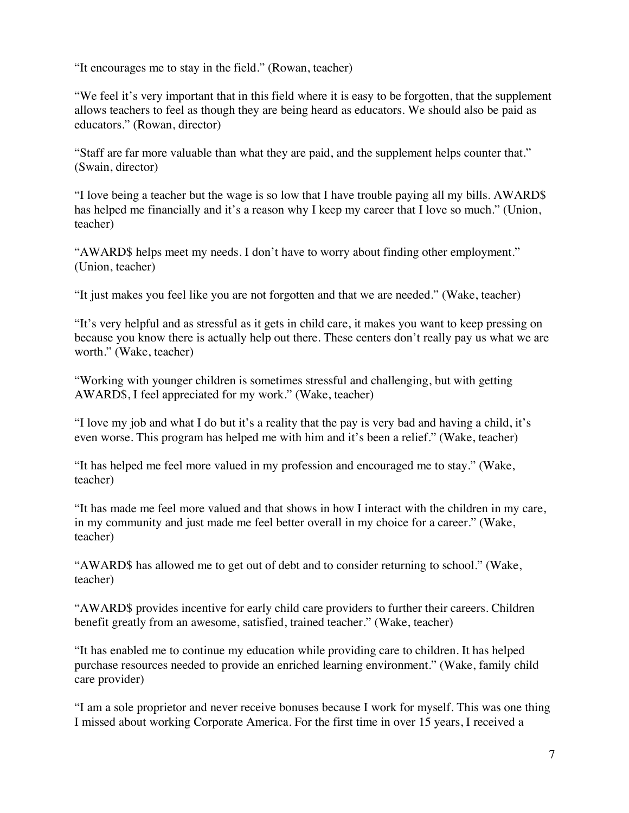"It encourages me to stay in the field." (Rowan, teacher)

"We feel it's very important that in this field where it is easy to be forgotten, that the supplement allows teachers to feel as though they are being heard as educators. We should also be paid as educators." (Rowan, director)

"Staff are far more valuable than what they are paid, and the supplement helps counter that." (Swain, director)

"I love being a teacher but the wage is so low that I have trouble paying all my bills. AWARD\$ has helped me financially and it's a reason why I keep my career that I love so much." (Union, teacher)

"AWARD\$ helps meet my needs. I don't have to worry about finding other employment." (Union, teacher)

"It just makes you feel like you are not forgotten and that we are needed." (Wake, teacher)

"It's very helpful and as stressful as it gets in child care, it makes you want to keep pressing on because you know there is actually help out there. These centers don't really pay us what we are worth." (Wake, teacher)

"Working with younger children is sometimes stressful and challenging, but with getting AWARD\$, I feel appreciated for my work." (Wake, teacher)

"I love my job and what I do but it's a reality that the pay is very bad and having a child, it's even worse. This program has helped me with him and it's been a relief." (Wake, teacher)

"It has helped me feel more valued in my profession and encouraged me to stay." (Wake, teacher)

"It has made me feel more valued and that shows in how I interact with the children in my care, in my community and just made me feel better overall in my choice for a career." (Wake, teacher)

"AWARD\$ has allowed me to get out of debt and to consider returning to school." (Wake, teacher)

"AWARD\$ provides incentive for early child care providers to further their careers. Children benefit greatly from an awesome, satisfied, trained teacher." (Wake, teacher)

"It has enabled me to continue my education while providing care to children. It has helped purchase resources needed to provide an enriched learning environment." (Wake, family child care provider)

"I am a sole proprietor and never receive bonuses because I work for myself. This was one thing I missed about working Corporate America. For the first time in over 15 years, I received a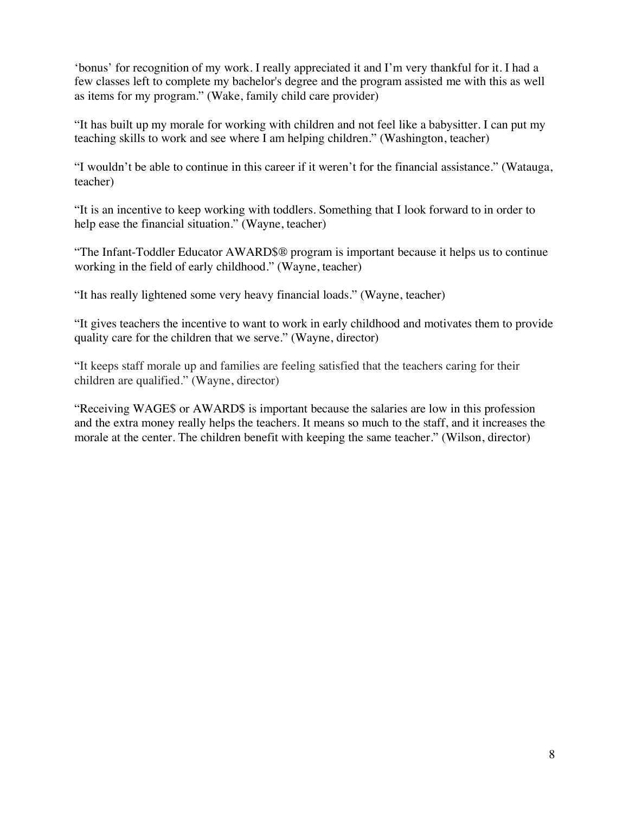'bonus' for recognition of my work. I really appreciated it and I'm very thankful for it. I had a few classes left to complete my bachelor's degree and the program assisted me with this as well as items for my program." (Wake, family child care provider)

"It has built up my morale for working with children and not feel like a babysitter. I can put my teaching skills to work and see where I am helping children." (Washington, teacher)

"I wouldn't be able to continue in this career if it weren't for the financial assistance." (Watauga, teacher)

"It is an incentive to keep working with toddlers. Something that I look forward to in order to help ease the financial situation." (Wayne, teacher)

"The Infant-Toddler Educator AWARD\$® program is important because it helps us to continue working in the field of early childhood." (Wayne, teacher)

"It has really lightened some very heavy financial loads." (Wayne, teacher)

"It gives teachers the incentive to want to work in early childhood and motivates them to provide quality care for the children that we serve." (Wayne, director)

"It keeps staff morale up and families are feeling satisfied that the teachers caring for their children are qualified." (Wayne, director)

"Receiving WAGE\$ or AWARD\$ is important because the salaries are low in this profession and the extra money really helps the teachers. It means so much to the staff, and it increases the morale at the center. The children benefit with keeping the same teacher." (Wilson, director)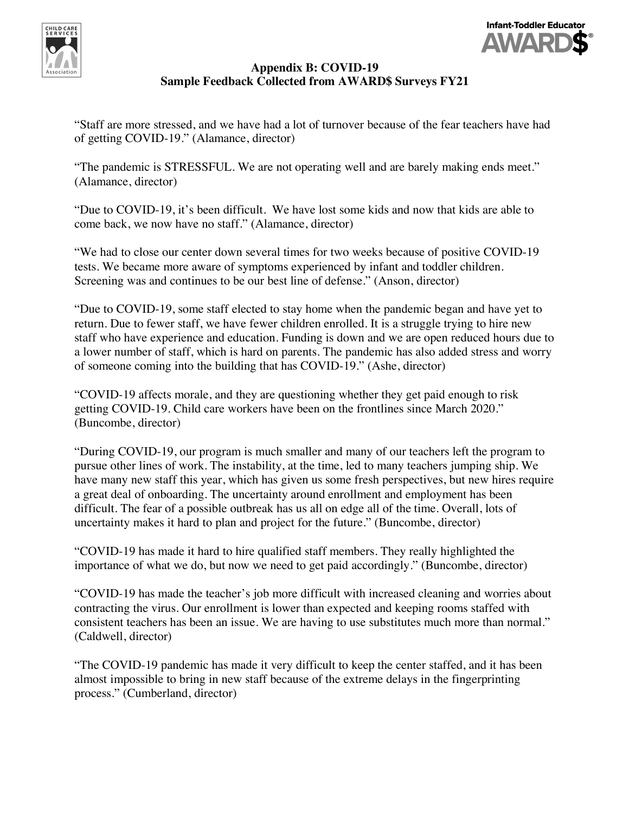



# **Appendix B: COVID-19 Sample Feedback Collected from AWARD\$ Surveys FY21**

"Staff are more stressed, and we have had a lot of turnover because of the fear teachers have had of getting COVID-19." (Alamance, director)

"The pandemic is STRESSFUL. We are not operating well and are barely making ends meet." (Alamance, director)

"Due to COVID-19, it's been difficult. We have lost some kids and now that kids are able to come back, we now have no staff." (Alamance, director)

"We had to close our center down several times for two weeks because of positive COVID-19 tests. We became more aware of symptoms experienced by infant and toddler children. Screening was and continues to be our best line of defense." (Anson, director)

"Due to COVID-19, some staff elected to stay home when the pandemic began and have yet to return. Due to fewer staff, we have fewer children enrolled. It is a struggle trying to hire new staff who have experience and education. Funding is down and we are open reduced hours due to a lower number of staff, which is hard on parents. The pandemic has also added stress and worry of someone coming into the building that has COVID-19." (Ashe, director)

"COVID-19 affects morale, and they are questioning whether they get paid enough to risk getting COVID-19. Child care workers have been on the frontlines since March 2020." (Buncombe, director)

"During COVID-19, our program is much smaller and many of our teachers left the program to pursue other lines of work. The instability, at the time, led to many teachers jumping ship. We have many new staff this year, which has given us some fresh perspectives, but new hires require a great deal of onboarding. The uncertainty around enrollment and employment has been difficult. The fear of a possible outbreak has us all on edge all of the time. Overall, lots of uncertainty makes it hard to plan and project for the future." (Buncombe, director)

"COVID-19 has made it hard to hire qualified staff members. They really highlighted the importance of what we do, but now we need to get paid accordingly." (Buncombe, director)

"COVID-19 has made the teacher's job more difficult with increased cleaning and worries about contracting the virus. Our enrollment is lower than expected and keeping rooms staffed with consistent teachers has been an issue. We are having to use substitutes much more than normal." (Caldwell, director)

"The COVID-19 pandemic has made it very difficult to keep the center staffed, and it has been almost impossible to bring in new staff because of the extreme delays in the fingerprinting process." (Cumberland, director)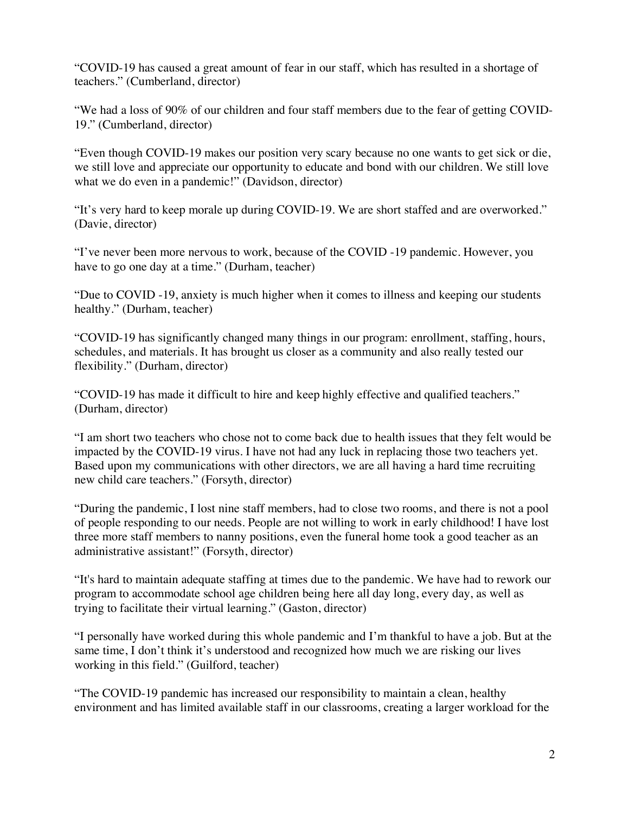"COVID-19 has caused a great amount of fear in our staff, which has resulted in a shortage of teachers." (Cumberland, director)

"We had a loss of 90% of our children and four staff members due to the fear of getting COVID-19." (Cumberland, director)

"Even though COVID-19 makes our position very scary because no one wants to get sick or die, we still love and appreciate our opportunity to educate and bond with our children. We still love what we do even in a pandemic!" (Davidson, director)

"It's very hard to keep morale up during COVID-19. We are short staffed and are overworked." (Davie, director)

"I've never been more nervous to work, because of the COVID -19 pandemic. However, you have to go one day at a time." (Durham, teacher)

"Due to COVID -19, anxiety is much higher when it comes to illness and keeping our students healthy." (Durham, teacher)

"COVID-19 has significantly changed many things in our program: enrollment, staffing, hours, schedules, and materials. It has brought us closer as a community and also really tested our flexibility." (Durham, director)

"COVID-19 has made it difficult to hire and keep highly effective and qualified teachers." (Durham, director)

"I am short two teachers who chose not to come back due to health issues that they felt would be impacted by the COVID-19 virus. I have not had any luck in replacing those two teachers yet. Based upon my communications with other directors, we are all having a hard time recruiting new child care teachers." (Forsyth, director)

"During the pandemic, I lost nine staff members, had to close two rooms, and there is not a pool of people responding to our needs. People are not willing to work in early childhood! I have lost three more staff members to nanny positions, even the funeral home took a good teacher as an administrative assistant!" (Forsyth, director)

"It's hard to maintain adequate staffing at times due to the pandemic. We have had to rework our program to accommodate school age children being here all day long, every day, as well as trying to facilitate their virtual learning." (Gaston, director)

"I personally have worked during this whole pandemic and I'm thankful to have a job. But at the same time, I don't think it's understood and recognized how much we are risking our lives working in this field." (Guilford, teacher)

"The COVID-19 pandemic has increased our responsibility to maintain a clean, healthy environment and has limited available staff in our classrooms, creating a larger workload for the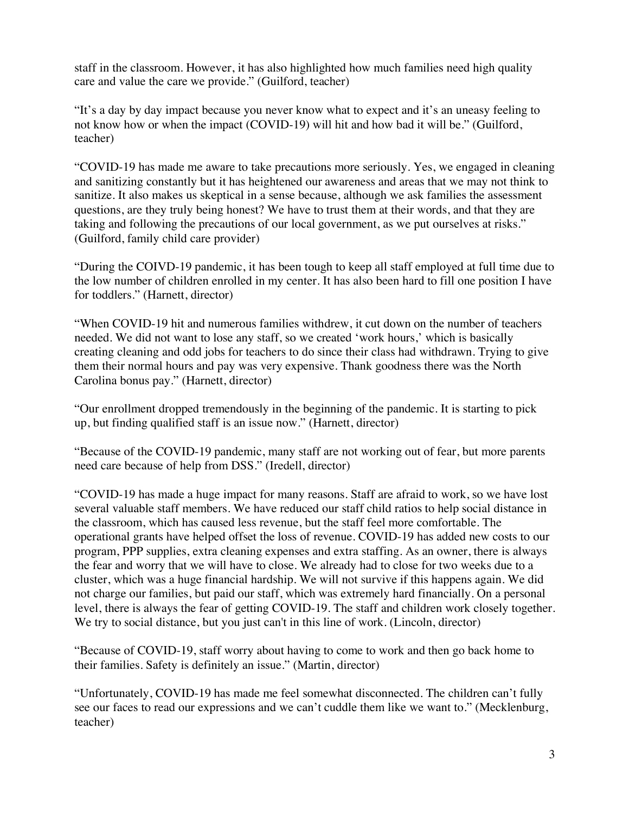staff in the classroom. However, it has also highlighted how much families need high quality care and value the care we provide." (Guilford, teacher)

"It's a day by day impact because you never know what to expect and it's an uneasy feeling to not know how or when the impact (COVID-19) will hit and how bad it will be." (Guilford, teacher)

"COVID-19 has made me aware to take precautions more seriously. Yes, we engaged in cleaning and sanitizing constantly but it has heightened our awareness and areas that we may not think to sanitize. It also makes us skeptical in a sense because, although we ask families the assessment questions, are they truly being honest? We have to trust them at their words, and that they are taking and following the precautions of our local government, as we put ourselves at risks." (Guilford, family child care provider)

"During the COIVD-19 pandemic, it has been tough to keep all staff employed at full time due to the low number of children enrolled in my center. It has also been hard to fill one position I have for toddlers." (Harnett, director)

"When COVID-19 hit and numerous families withdrew, it cut down on the number of teachers needed. We did not want to lose any staff, so we created 'work hours,' which is basically creating cleaning and odd jobs for teachers to do since their class had withdrawn. Trying to give them their normal hours and pay was very expensive. Thank goodness there was the North Carolina bonus pay." (Harnett, director)

"Our enrollment dropped tremendously in the beginning of the pandemic. It is starting to pick up, but finding qualified staff is an issue now." (Harnett, director)

"Because of the COVID-19 pandemic, many staff are not working out of fear, but more parents need care because of help from DSS." (Iredell, director)

"COVID-19 has made a huge impact for many reasons. Staff are afraid to work, so we have lost several valuable staff members. We have reduced our staff child ratios to help social distance in the classroom, which has caused less revenue, but the staff feel more comfortable. The operational grants have helped offset the loss of revenue. COVID-19 has added new costs to our program, PPP supplies, extra cleaning expenses and extra staffing. As an owner, there is always the fear and worry that we will have to close. We already had to close for two weeks due to a cluster, which was a huge financial hardship. We will not survive if this happens again. We did not charge our families, but paid our staff, which was extremely hard financially. On a personal level, there is always the fear of getting COVID-19. The staff and children work closely together. We try to social distance, but you just can't in this line of work. (Lincoln, director)

"Because of COVID-19, staff worry about having to come to work and then go back home to their families. Safety is definitely an issue." (Martin, director)

"Unfortunately, COVID-19 has made me feel somewhat disconnected. The children can't fully see our faces to read our expressions and we can't cuddle them like we want to." (Mecklenburg, teacher)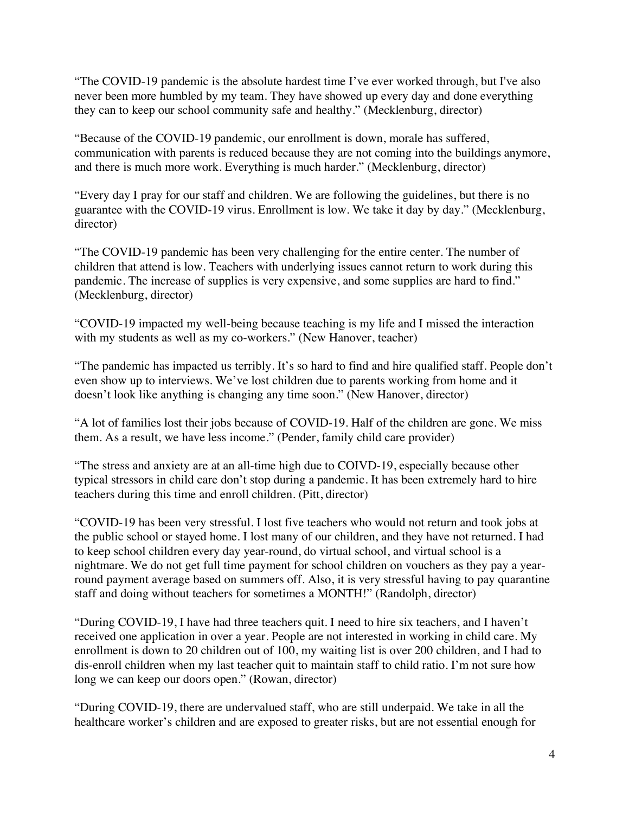"The COVID-19 pandemic is the absolute hardest time I've ever worked through, but I've also never been more humbled by my team. They have showed up every day and done everything they can to keep our school community safe and healthy." (Mecklenburg, director)

"Because of the COVID-19 pandemic, our enrollment is down, morale has suffered, communication with parents is reduced because they are not coming into the buildings anymore, and there is much more work. Everything is much harder." (Mecklenburg, director)

"Every day I pray for our staff and children. We are following the guidelines, but there is no guarantee with the COVID-19 virus. Enrollment is low. We take it day by day." (Mecklenburg, director)

"The COVID-19 pandemic has been very challenging for the entire center. The number of children that attend is low. Teachers with underlying issues cannot return to work during this pandemic. The increase of supplies is very expensive, and some supplies are hard to find." (Mecklenburg, director)

"COVID-19 impacted my well-being because teaching is my life and I missed the interaction with my students as well as my co-workers." (New Hanover, teacher)

"The pandemic has impacted us terribly. It's so hard to find and hire qualified staff. People don't even show up to interviews. We've lost children due to parents working from home and it doesn't look like anything is changing any time soon." (New Hanover, director)

"A lot of families lost their jobs because of COVID-19. Half of the children are gone. We miss them. As a result, we have less income." (Pender, family child care provider)

"The stress and anxiety are at an all-time high due to COIVD-19, especially because other typical stressors in child care don't stop during a pandemic. It has been extremely hard to hire teachers during this time and enroll children. (Pitt, director)

"COVID-19 has been very stressful. I lost five teachers who would not return and took jobs at the public school or stayed home. I lost many of our children, and they have not returned. I had to keep school children every day year-round, do virtual school, and virtual school is a nightmare. We do not get full time payment for school children on vouchers as they pay a yearround payment average based on summers off. Also, it is very stressful having to pay quarantine staff and doing without teachers for sometimes a MONTH!" (Randolph, director)

"During COVID-19, I have had three teachers quit. I need to hire six teachers, and I haven't received one application in over a year. People are not interested in working in child care. My enrollment is down to 20 children out of 100, my waiting list is over 200 children, and I had to dis-enroll children when my last teacher quit to maintain staff to child ratio. I'm not sure how long we can keep our doors open." (Rowan, director)

"During COVID-19, there are undervalued staff, who are still underpaid. We take in all the healthcare worker's children and are exposed to greater risks, but are not essential enough for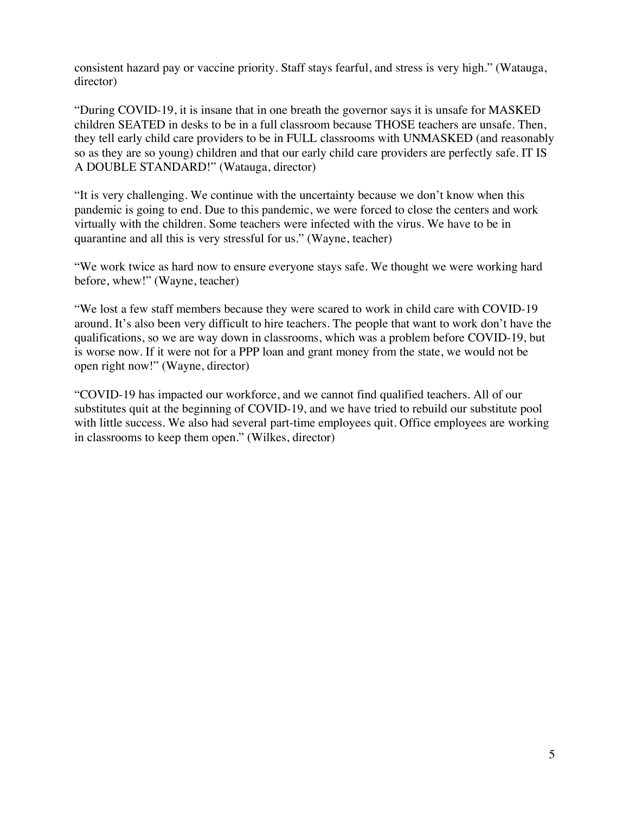consistent hazard pay or vaccine priority. Staff stays fearful, and stress is very high." (Watauga, director)

"During COVID-19, it is insane that in one breath the governor says it is unsafe for MASKED children SEATED in desks to be in a full classroom because THOSE teachers are unsafe. Then, they tell early child care providers to be in FULL classrooms with UNMASKED (and reasonably so as they are so young) children and that our early child care providers are perfectly safe. IT IS A DOUBLE STANDARD!" (Watauga, director)

"It is very challenging. We continue with the uncertainty because we don't know when this pandemic is going to end. Due to this pandemic, we were forced to close the centers and work virtually with the children. Some teachers were infected with the virus. We have to be in quarantine and all this is very stressful for us." (Wayne, teacher)

"We work twice as hard now to ensure everyone stays safe. We thought we were working hard before, whew!" (Wayne, teacher)

"We lost a few staff members because they were scared to work in child care with COVID-19 around. It's also been very difficult to hire teachers. The people that want to work don't have the qualifications, so we are way down in classrooms, which was a problem before COVID-19, but is worse now. If it were not for a PPP loan and grant money from the state, we would not be open right now!" (Wayne, director)

"COVID-19 has impacted our workforce, and we cannot find qualified teachers. All of our substitutes quit at the beginning of COVID-19, and we have tried to rebuild our substitute pool with little success. We also had several part-time employees quit. Office employees are working in classrooms to keep them open." (Wilkes, director)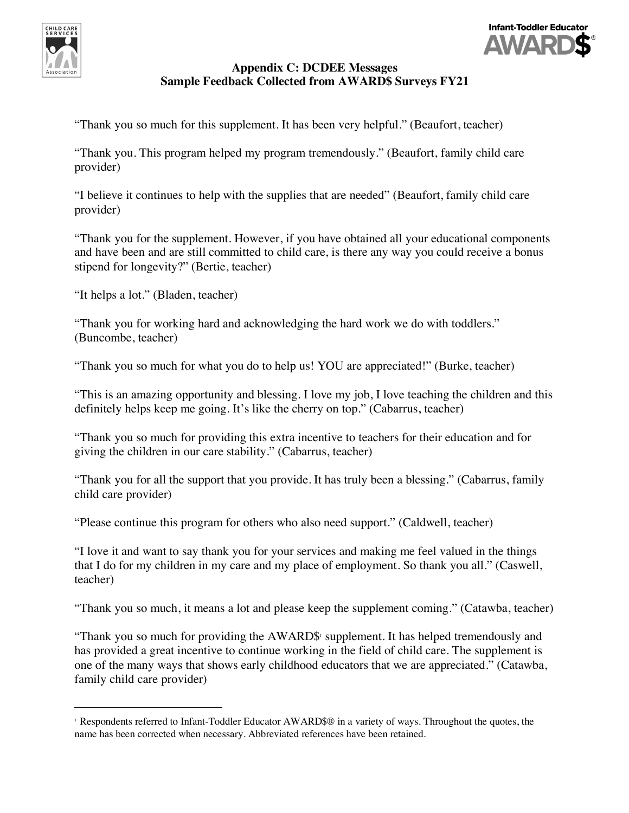



# **Appendix C: DCDEE Messages Sample Feedback Collected from AWARD\$ Surveys FY21**

"Thank you so much for this supplement. It has been very helpful." (Beaufort, teacher)

"Thank you. This program helped my program tremendously." (Beaufort, family child care provider)

"I believe it continues to help with the supplies that are needed" (Beaufort, family child care provider)

"Thank you for the supplement. However, if you have obtained all your educational components and have been and are still committed to child care, is there any way you could receive a bonus stipend for longevity?" (Bertie, teacher)

"It helps a lot." (Bladen, teacher)

"Thank you for working hard and acknowledging the hard work we do with toddlers." (Buncombe, teacher)

"Thank you so much for what you do to help us! YOU are appreciated!" (Burke, teacher)

"This is an amazing opportunity and blessing. I love my job, I love teaching the children and this definitely helps keep me going. It's like the cherry on top." (Cabarrus, teacher)

"Thank you so much for providing this extra incentive to teachers for their education and for giving the children in our care stability." (Cabarrus, teacher)

"Thank you for all the support that you provide. It has truly been a blessing." (Cabarrus, family child care provider)

"Please continue this program for others who also need support." (Caldwell, teacher)

"I love it and want to say thank you for your services and making me feel valued in the things that I do for my children in my care and my place of employment. So thank you all." (Caswell, teacher)

"Thank you so much, it means a lot and please keep the supplement coming." (Catawba, teacher)

"Thank you so much for providing the AWARD\$<sup>1</sup> supplement. It has helped tremendously and has provided a great incentive to continue working in the field of child care. The supplement is one of the many ways that shows early childhood educators that we are appreciated." (Catawba, family child care provider)

 <sup>1</sup> Respondents referred to Infant-Toddler Educator AWARD\$® in a variety of ways. Throughout the quotes, the name has been corrected when necessary. Abbreviated references have been retained.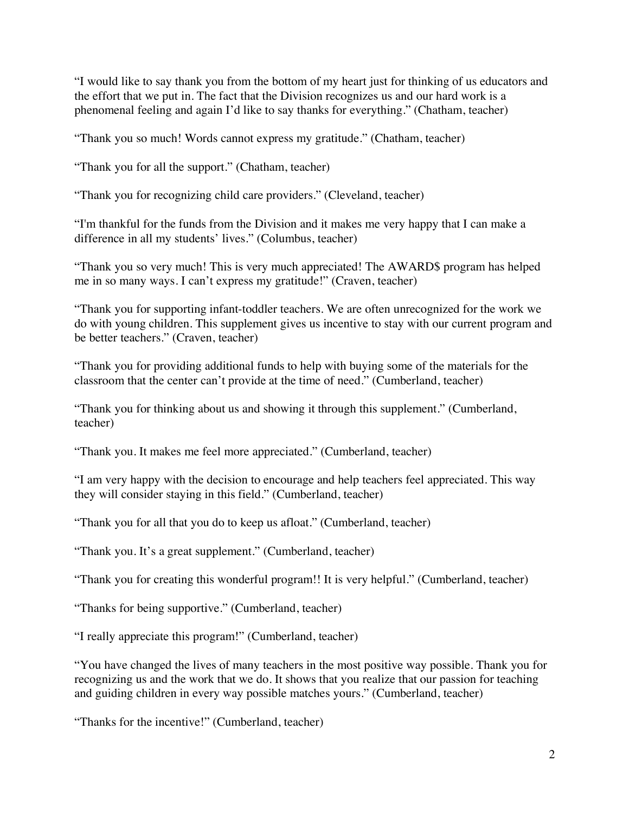"I would like to say thank you from the bottom of my heart just for thinking of us educators and the effort that we put in. The fact that the Division recognizes us and our hard work is a phenomenal feeling and again I'd like to say thanks for everything." (Chatham, teacher)

"Thank you so much! Words cannot express my gratitude." (Chatham, teacher)

"Thank you for all the support." (Chatham, teacher)

"Thank you for recognizing child care providers." (Cleveland, teacher)

"I'm thankful for the funds from the Division and it makes me very happy that I can make a difference in all my students' lives." (Columbus, teacher)

"Thank you so very much! This is very much appreciated! The AWARD\$ program has helped me in so many ways. I can't express my gratitude!" (Craven, teacher)

"Thank you for supporting infant-toddler teachers. We are often unrecognized for the work we do with young children. This supplement gives us incentive to stay with our current program and be better teachers." (Craven, teacher)

"Thank you for providing additional funds to help with buying some of the materials for the classroom that the center can't provide at the time of need." (Cumberland, teacher)

"Thank you for thinking about us and showing it through this supplement." (Cumberland, teacher)

"Thank you. It makes me feel more appreciated." (Cumberland, teacher)

"I am very happy with the decision to encourage and help teachers feel appreciated. This way they will consider staying in this field." (Cumberland, teacher)

"Thank you for all that you do to keep us afloat." (Cumberland, teacher)

"Thank you. It's a great supplement." (Cumberland, teacher)

"Thank you for creating this wonderful program!! It is very helpful." (Cumberland, teacher)

"Thanks for being supportive." (Cumberland, teacher)

"I really appreciate this program!" (Cumberland, teacher)

"You have changed the lives of many teachers in the most positive way possible. Thank you for recognizing us and the work that we do. It shows that you realize that our passion for teaching and guiding children in every way possible matches yours." (Cumberland, teacher)

"Thanks for the incentive!" (Cumberland, teacher)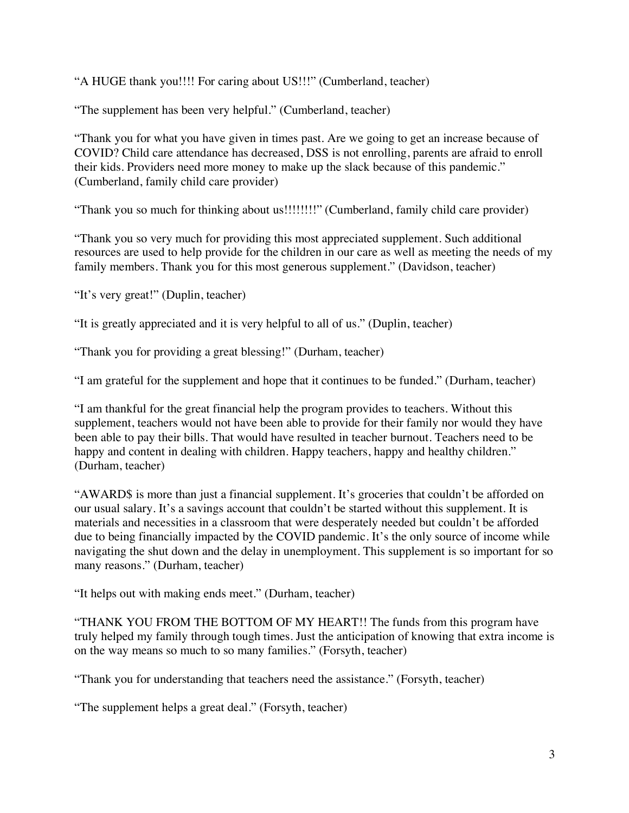"A HUGE thank you!!!! For caring about US!!!" (Cumberland, teacher)

"The supplement has been very helpful." (Cumberland, teacher)

"Thank you for what you have given in times past. Are we going to get an increase because of COVID? Child care attendance has decreased, DSS is not enrolling, parents are afraid to enroll their kids. Providers need more money to make up the slack because of this pandemic." (Cumberland, family child care provider)

"Thank you so much for thinking about us!!!!!!!!" (Cumberland, family child care provider)

"Thank you so very much for providing this most appreciated supplement. Such additional resources are used to help provide for the children in our care as well as meeting the needs of my family members. Thank you for this most generous supplement." (Davidson, teacher)

"It's very great!" (Duplin, teacher)

"It is greatly appreciated and it is very helpful to all of us." (Duplin, teacher)

"Thank you for providing a great blessing!" (Durham, teacher)

"I am grateful for the supplement and hope that it continues to be funded." (Durham, teacher)

"I am thankful for the great financial help the program provides to teachers. Without this supplement, teachers would not have been able to provide for their family nor would they have been able to pay their bills. That would have resulted in teacher burnout. Teachers need to be happy and content in dealing with children. Happy teachers, happy and healthy children." (Durham, teacher)

"AWARD\$ is more than just a financial supplement. It's groceries that couldn't be afforded on our usual salary. It's a savings account that couldn't be started without this supplement. It is materials and necessities in a classroom that were desperately needed but couldn't be afforded due to being financially impacted by the COVID pandemic. It's the only source of income while navigating the shut down and the delay in unemployment. This supplement is so important for so many reasons." (Durham, teacher)

"It helps out with making ends meet." (Durham, teacher)

"THANK YOU FROM THE BOTTOM OF MY HEART!! The funds from this program have truly helped my family through tough times. Just the anticipation of knowing that extra income is on the way means so much to so many families." (Forsyth, teacher)

"Thank you for understanding that teachers need the assistance." (Forsyth, teacher)

"The supplement helps a great deal." (Forsyth, teacher)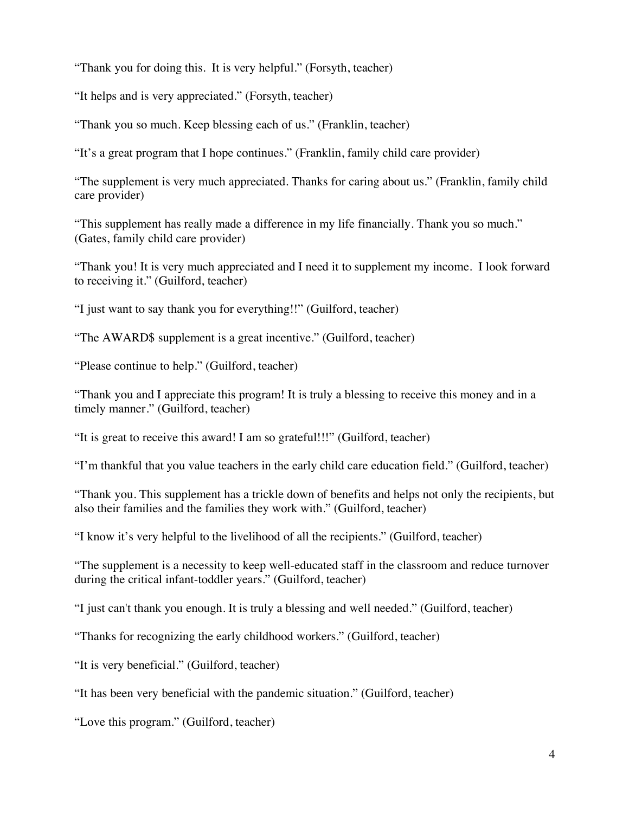"Thank you for doing this. It is very helpful." (Forsyth, teacher)

"It helps and is very appreciated." (Forsyth, teacher)

"Thank you so much. Keep blessing each of us." (Franklin, teacher)

"It's a great program that I hope continues." (Franklin, family child care provider)

"The supplement is very much appreciated. Thanks for caring about us." (Franklin, family child care provider)

"This supplement has really made a difference in my life financially. Thank you so much." (Gates, family child care provider)

"Thank you! It is very much appreciated and I need it to supplement my income. I look forward to receiving it." (Guilford, teacher)

"I just want to say thank you for everything!!" (Guilford, teacher)

"The AWARD\$ supplement is a great incentive." (Guilford, teacher)

"Please continue to help." (Guilford, teacher)

"Thank you and I appreciate this program! It is truly a blessing to receive this money and in a timely manner." (Guilford, teacher)

"It is great to receive this award! I am so grateful!!!" (Guilford, teacher)

"I'm thankful that you value teachers in the early child care education field." (Guilford, teacher)

"Thank you. This supplement has a trickle down of benefits and helps not only the recipients, but also their families and the families they work with." (Guilford, teacher)

"I know it's very helpful to the livelihood of all the recipients." (Guilford, teacher)

"The supplement is a necessity to keep well-educated staff in the classroom and reduce turnover during the critical infant-toddler years." (Guilford, teacher)

"I just can't thank you enough. It is truly a blessing and well needed." (Guilford, teacher)

"Thanks for recognizing the early childhood workers." (Guilford, teacher)

"It is very beneficial." (Guilford, teacher)

"It has been very beneficial with the pandemic situation." (Guilford, teacher)

"Love this program." (Guilford, teacher)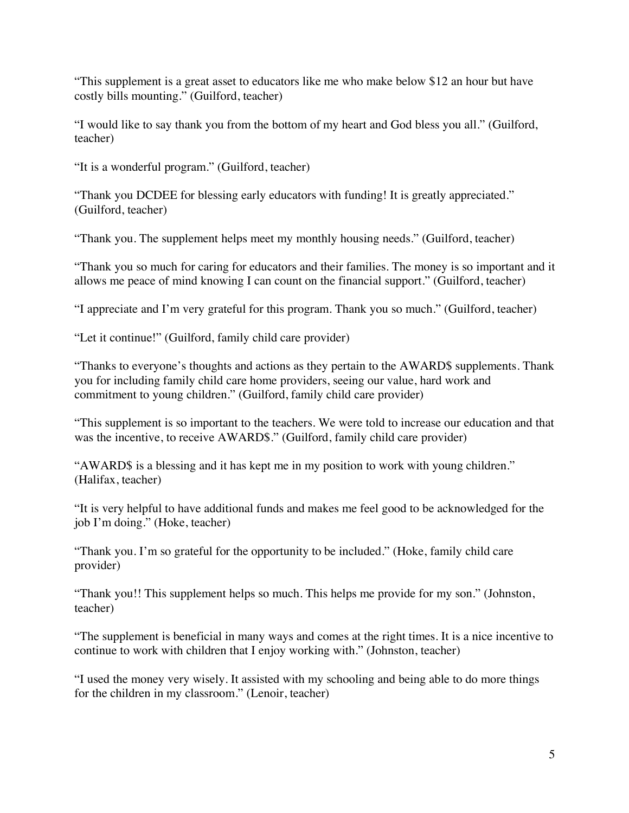"This supplement is a great asset to educators like me who make below \$12 an hour but have costly bills mounting." (Guilford, teacher)

"I would like to say thank you from the bottom of my heart and God bless you all." (Guilford, teacher)

"It is a wonderful program." (Guilford, teacher)

"Thank you DCDEE for blessing early educators with funding! It is greatly appreciated." (Guilford, teacher)

"Thank you. The supplement helps meet my monthly housing needs." (Guilford, teacher)

"Thank you so much for caring for educators and their families. The money is so important and it allows me peace of mind knowing I can count on the financial support." (Guilford, teacher)

"I appreciate and I'm very grateful for this program. Thank you so much." (Guilford, teacher)

"Let it continue!" (Guilford, family child care provider)

"Thanks to everyone's thoughts and actions as they pertain to the AWARD\$ supplements. Thank you for including family child care home providers, seeing our value, hard work and commitment to young children." (Guilford, family child care provider)

"This supplement is so important to the teachers. We were told to increase our education and that was the incentive, to receive AWARD\$." (Guilford, family child care provider)

"AWARD\$ is a blessing and it has kept me in my position to work with young children." (Halifax, teacher)

"It is very helpful to have additional funds and makes me feel good to be acknowledged for the job I'm doing." (Hoke, teacher)

"Thank you. I'm so grateful for the opportunity to be included." (Hoke, family child care provider)

"Thank you!! This supplement helps so much. This helps me provide for my son." (Johnston, teacher)

"The supplement is beneficial in many ways and comes at the right times. It is a nice incentive to continue to work with children that I enjoy working with." (Johnston, teacher)

"I used the money very wisely. It assisted with my schooling and being able to do more things for the children in my classroom." (Lenoir, teacher)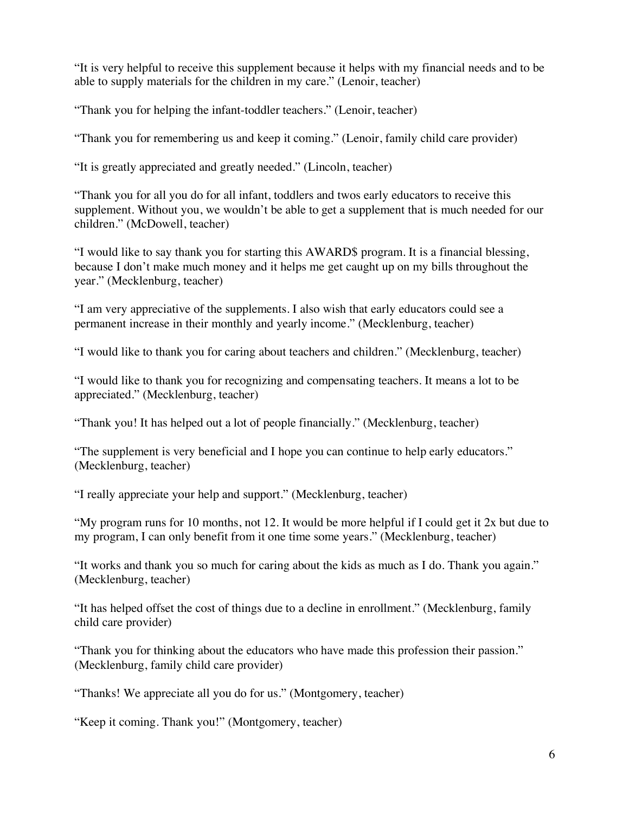"It is very helpful to receive this supplement because it helps with my financial needs and to be able to supply materials for the children in my care." (Lenoir, teacher)

"Thank you for helping the infant-toddler teachers." (Lenoir, teacher)

"Thank you for remembering us and keep it coming." (Lenoir, family child care provider)

"It is greatly appreciated and greatly needed." (Lincoln, teacher)

"Thank you for all you do for all infant, toddlers and twos early educators to receive this supplement. Without you, we wouldn't be able to get a supplement that is much needed for our children." (McDowell, teacher)

"I would like to say thank you for starting this AWARD\$ program. It is a financial blessing, because I don't make much money and it helps me get caught up on my bills throughout the year." (Mecklenburg, teacher)

"I am very appreciative of the supplements. I also wish that early educators could see a permanent increase in their monthly and yearly income." (Mecklenburg, teacher)

"I would like to thank you for caring about teachers and children." (Mecklenburg, teacher)

"I would like to thank you for recognizing and compensating teachers. It means a lot to be appreciated." (Mecklenburg, teacher)

"Thank you! It has helped out a lot of people financially." (Mecklenburg, teacher)

"The supplement is very beneficial and I hope you can continue to help early educators." (Mecklenburg, teacher)

"I really appreciate your help and support." (Mecklenburg, teacher)

"My program runs for 10 months, not 12. It would be more helpful if I could get it 2x but due to my program, I can only benefit from it one time some years." (Mecklenburg, teacher)

"It works and thank you so much for caring about the kids as much as I do. Thank you again." (Mecklenburg, teacher)

"It has helped offset the cost of things due to a decline in enrollment." (Mecklenburg, family child care provider)

"Thank you for thinking about the educators who have made this profession their passion." (Mecklenburg, family child care provider)

"Thanks! We appreciate all you do for us." (Montgomery, teacher)

"Keep it coming. Thank you!" (Montgomery, teacher)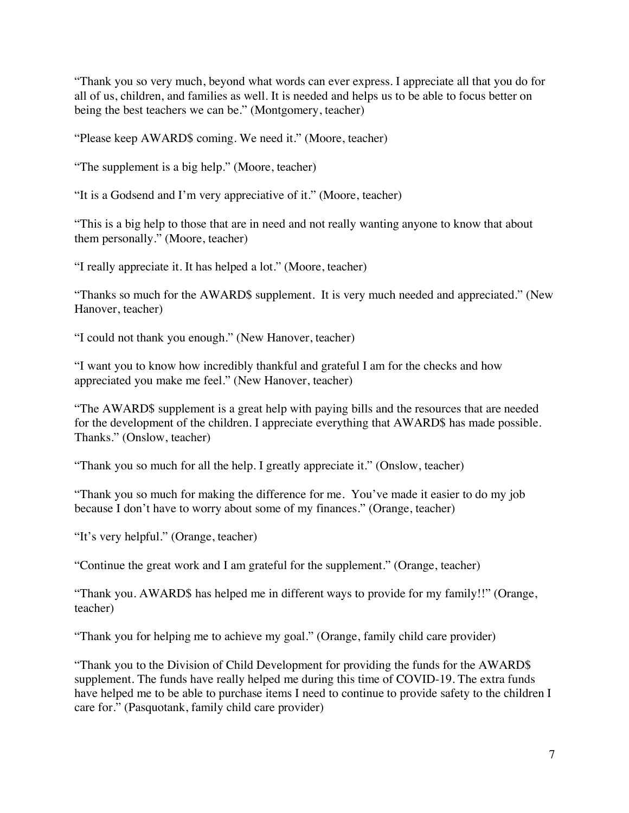"Thank you so very much, beyond what words can ever express. I appreciate all that you do for all of us, children, and families as well. It is needed and helps us to be able to focus better on being the best teachers we can be." (Montgomery, teacher)

"Please keep AWARD\$ coming. We need it." (Moore, teacher)

"The supplement is a big help." (Moore, teacher)

"It is a Godsend and I'm very appreciative of it." (Moore, teacher)

"This is a big help to those that are in need and not really wanting anyone to know that about them personally." (Moore, teacher)

"I really appreciate it. It has helped a lot." (Moore, teacher)

"Thanks so much for the AWARD\$ supplement. It is very much needed and appreciated." (New Hanover, teacher)

"I could not thank you enough." (New Hanover, teacher)

"I want you to know how incredibly thankful and grateful I am for the checks and how appreciated you make me feel." (New Hanover, teacher)

"The AWARD\$ supplement is a great help with paying bills and the resources that are needed for the development of the children. I appreciate everything that AWARD\$ has made possible. Thanks." (Onslow, teacher)

"Thank you so much for all the help. I greatly appreciate it." (Onslow, teacher)

"Thank you so much for making the difference for me. You've made it easier to do my job because I don't have to worry about some of my finances." (Orange, teacher)

"It's very helpful." (Orange, teacher)

"Continue the great work and I am grateful for the supplement." (Orange, teacher)

"Thank you. AWARD\$ has helped me in different ways to provide for my family!!" (Orange, teacher)

"Thank you for helping me to achieve my goal." (Orange, family child care provider)

"Thank you to the Division of Child Development for providing the funds for the AWARD\$ supplement. The funds have really helped me during this time of COVID-19. The extra funds have helped me to be able to purchase items I need to continue to provide safety to the children I care for." (Pasquotank, family child care provider)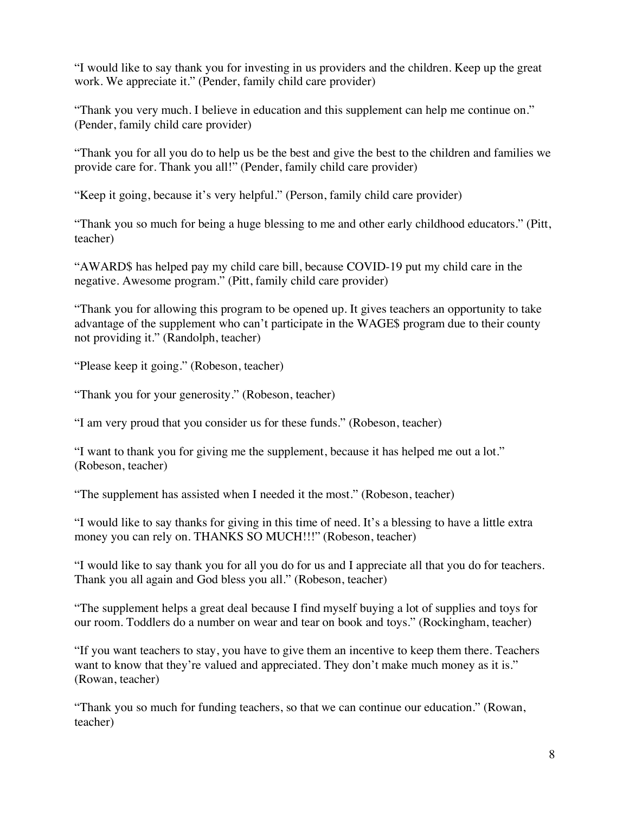"I would like to say thank you for investing in us providers and the children. Keep up the great work. We appreciate it." (Pender, family child care provider)

"Thank you very much. I believe in education and this supplement can help me continue on." (Pender, family child care provider)

"Thank you for all you do to help us be the best and give the best to the children and families we provide care for. Thank you all!" (Pender, family child care provider)

"Keep it going, because it's very helpful." (Person, family child care provider)

"Thank you so much for being a huge blessing to me and other early childhood educators." (Pitt, teacher)

"AWARD\$ has helped pay my child care bill, because COVID-19 put my child care in the negative. Awesome program." (Pitt, family child care provider)

"Thank you for allowing this program to be opened up. It gives teachers an opportunity to take advantage of the supplement who can't participate in the WAGE\$ program due to their county not providing it." (Randolph, teacher)

"Please keep it going." (Robeson, teacher)

"Thank you for your generosity." (Robeson, teacher)

"I am very proud that you consider us for these funds." (Robeson, teacher)

"I want to thank you for giving me the supplement, because it has helped me out a lot." (Robeson, teacher)

"The supplement has assisted when I needed it the most." (Robeson, teacher)

"I would like to say thanks for giving in this time of need. It's a blessing to have a little extra money you can rely on. THANKS SO MUCH!!!" (Robeson, teacher)

"I would like to say thank you for all you do for us and I appreciate all that you do for teachers. Thank you all again and God bless you all." (Robeson, teacher)

"The supplement helps a great deal because I find myself buying a lot of supplies and toys for our room. Toddlers do a number on wear and tear on book and toys." (Rockingham, teacher)

"If you want teachers to stay, you have to give them an incentive to keep them there. Teachers want to know that they're valued and appreciated. They don't make much money as it is." (Rowan, teacher)

"Thank you so much for funding teachers, so that we can continue our education." (Rowan, teacher)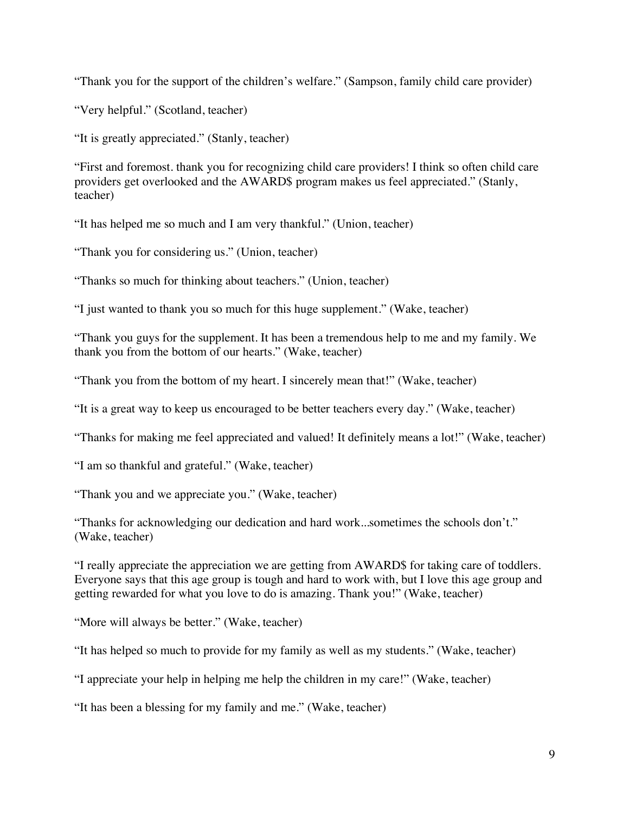"Thank you for the support of the children's welfare." (Sampson, family child care provider)

"Very helpful." (Scotland, teacher)

"It is greatly appreciated." (Stanly, teacher)

"First and foremost. thank you for recognizing child care providers! I think so often child care providers get overlooked and the AWARD\$ program makes us feel appreciated." (Stanly, teacher)

"It has helped me so much and I am very thankful." (Union, teacher)

"Thank you for considering us." (Union, teacher)

"Thanks so much for thinking about teachers." (Union, teacher)

"I just wanted to thank you so much for this huge supplement." (Wake, teacher)

"Thank you guys for the supplement. It has been a tremendous help to me and my family. We thank you from the bottom of our hearts." (Wake, teacher)

"Thank you from the bottom of my heart. I sincerely mean that!" (Wake, teacher)

"It is a great way to keep us encouraged to be better teachers every day." (Wake, teacher)

"Thanks for making me feel appreciated and valued! It definitely means a lot!" (Wake, teacher)

"I am so thankful and grateful." (Wake, teacher)

"Thank you and we appreciate you." (Wake, teacher)

"Thanks for acknowledging our dedication and hard work...sometimes the schools don't." (Wake, teacher)

"I really appreciate the appreciation we are getting from AWARD\$ for taking care of toddlers. Everyone says that this age group is tough and hard to work with, but I love this age group and getting rewarded for what you love to do is amazing. Thank you!" (Wake, teacher)

"More will always be better." (Wake, teacher)

"It has helped so much to provide for my family as well as my students." (Wake, teacher)

"I appreciate your help in helping me help the children in my care!" (Wake, teacher)

"It has been a blessing for my family and me." (Wake, teacher)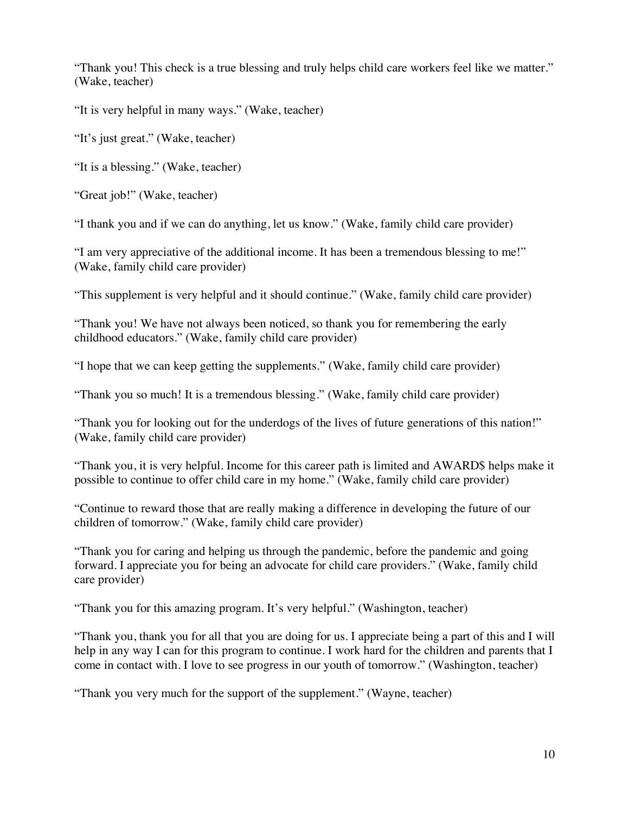"Thank you! This check is a true blessing and truly helps child care workers feel like we matter." (Wake, teacher)

"It is very helpful in many ways." (Wake, teacher)

"It's just great." (Wake, teacher)

"It is a blessing." (Wake, teacher)

"Great job!" (Wake, teacher)

"I thank you and if we can do anything, let us know." (Wake, family child care provider)

"I am very appreciative of the additional income. It has been a tremendous blessing to me!" (Wake, family child care provider)

"This supplement is very helpful and it should continue." (Wake, family child care provider)

"Thank you! We have not always been noticed, so thank you for remembering the early childhood educators." (Wake, family child care provider)

"I hope that we can keep getting the supplements." (Wake, family child care provider)

"Thank you so much! It is a tremendous blessing." (Wake, family child care provider)

"Thank you for looking out for the underdogs of the lives of future generations of this nation!" (Wake, family child care provider)

"Thank you, it is very helpful. Income for this career path is limited and AWARD\$ helps make it possible to continue to offer child care in my home." (Wake, family child care provider)

"Continue to reward those that are really making a difference in developing the future of our children of tomorrow." (Wake, family child care provider)

"Thank you for caring and helping us through the pandemic, before the pandemic and going forward. I appreciate you for being an advocate for child care providers." (Wake, family child care provider)

"Thank you for this amazing program. It's very helpful." (Washington, teacher)

"Thank you, thank you for all that you are doing for us. I appreciate being a part of this and I will help in any way I can for this program to continue. I work hard for the children and parents that I come in contact with. I love to see progress in our youth of tomorrow." (Washington, teacher)

"Thank you very much for the support of the supplement." (Wayne, teacher)